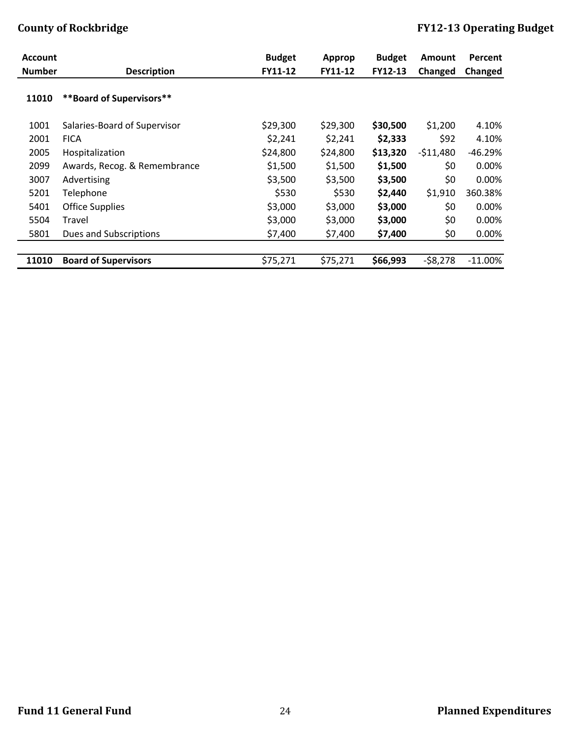| <b>Account</b> |                              | <b>Budget</b> | Approp   | <b>Budget</b> | <b>Amount</b> | Percent    |
|----------------|------------------------------|---------------|----------|---------------|---------------|------------|
| <b>Number</b>  | <b>Description</b>           | FY11-12       | FY11-12  | FY12-13       | Changed       | Changed    |
| 11010          | **Board of Supervisors**     |               |          |               |               |            |
| 1001           | Salaries-Board of Supervisor | \$29,300      | \$29,300 | \$30,500      | \$1,200       | 4.10%      |
| 2001           | <b>FICA</b>                  | \$2,241       | \$2,241  | \$2,333       | \$92          | 4.10%      |
| 2005           | Hospitalization              | \$24,800      | \$24,800 | \$13,320      | $-511,480$    | $-46.29%$  |
| 2099           | Awards, Recog. & Remembrance | \$1,500       | \$1,500  | \$1,500       | \$0           | 0.00%      |
| 3007           | Advertising                  | \$3,500       | \$3,500  | \$3,500       | \$0           | $0.00\%$   |
| 5201           | Telephone                    | \$530         | \$530    | \$2,440       | \$1,910       | 360.38%    |
| 5401           | <b>Office Supplies</b>       | \$3,000       | \$3,000  | \$3,000       | \$0           | $0.00\%$   |
| 5504           | Travel                       | \$3,000       | \$3,000  | \$3,000       | \$0           | 0.00%      |
| 5801           | Dues and Subscriptions       | \$7,400       | \$7,400  | \$7,400       | \$0           | 0.00%      |
|                |                              |               |          |               |               |            |
| 11010          | <b>Board of Supervisors</b>  | \$75,271      | \$75,271 | \$66,993      | $-58,278$     | $-11.00\%$ |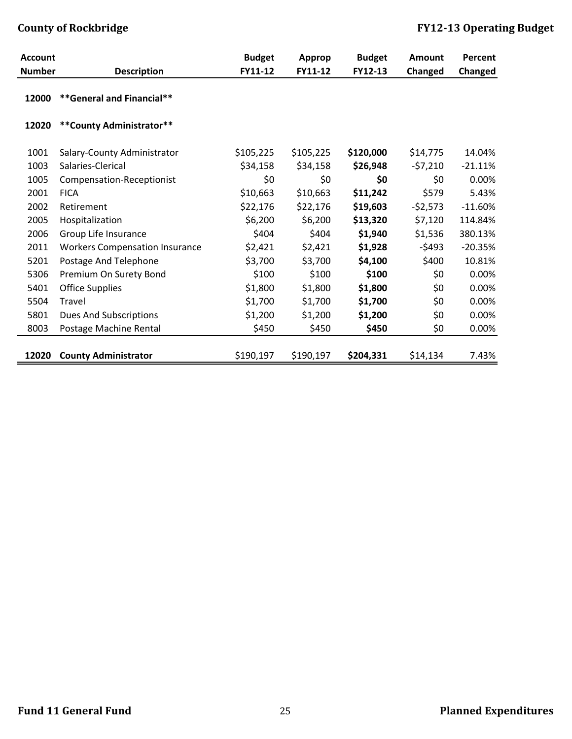| <b>Account</b> |                                       | <b>Budget</b> | Approp    | <b>Budget</b> | Amount    | Percent   |
|----------------|---------------------------------------|---------------|-----------|---------------|-----------|-----------|
| <b>Number</b>  | <b>Description</b>                    | FY11-12       | FY11-12   | FY12-13       | Changed   | Changed   |
| 12000          | **General and Financial**             |               |           |               |           |           |
| 12020          | ** County Administrator**             |               |           |               |           |           |
| 1001           | Salary-County Administrator           | \$105,225     | \$105,225 | \$120,000     | \$14,775  | 14.04%    |
| 1003           | Salaries-Clerical                     | \$34,158      | \$34,158  | \$26,948      | $-57,210$ | $-21.11%$ |
| 1005           | Compensation-Receptionist             | \$0           | \$0       | \$0           | \$0       | 0.00%     |
| 2001           | <b>FICA</b>                           | \$10,663      | \$10,663  | \$11,242      | \$579     | 5.43%     |
| 2002           | Retirement                            | \$22,176      | \$22,176  | \$19,603      | $-52,573$ | $-11.60%$ |
| 2005           | Hospitalization                       | \$6,200       | \$6,200   | \$13,320      | \$7,120   | 114.84%   |
| 2006           | Group Life Insurance                  | \$404         | \$404     | \$1,940       | \$1,536   | 380.13%   |
| 2011           | <b>Workers Compensation Insurance</b> | \$2,421       | \$2,421   | \$1,928       | $-5493$   | $-20.35%$ |
| 5201           | Postage And Telephone                 | \$3,700       | \$3,700   | \$4,100       | \$400     | 10.81%    |
| 5306           | Premium On Surety Bond                | \$100         | \$100     | \$100         | \$0\$     | 0.00%     |
| 5401           | <b>Office Supplies</b>                | \$1,800       | \$1,800   | \$1,800       | \$0       | 0.00%     |
| 5504           | Travel                                | \$1,700       | \$1,700   | \$1,700       | \$0       | 0.00%     |
| 5801           | <b>Dues And Subscriptions</b>         | \$1,200       | \$1,200   | \$1,200       | \$0       | 0.00%     |
| 8003           | Postage Machine Rental                | \$450         | \$450     | \$450         | \$0       | 0.00%     |
|                |                                       |               |           |               |           |           |
| 12020          | <b>County Administrator</b>           | \$190,197     | \$190,197 | \$204,331     | \$14,134  | 7.43%     |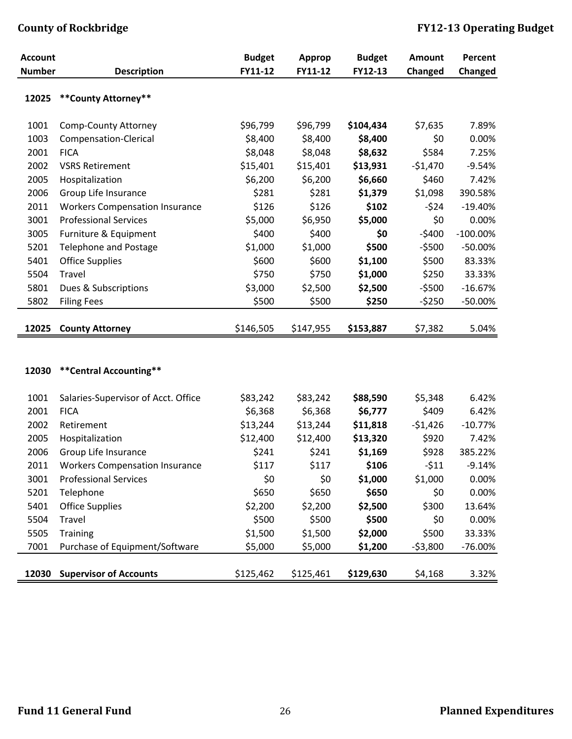| <b>Account</b> |                                                    | <b>Budget</b>       | <b>Approp</b>       | <b>Budget</b>       | <b>Amount</b>    | Percent     |
|----------------|----------------------------------------------------|---------------------|---------------------|---------------------|------------------|-------------|
| <b>Number</b>  | <b>Description</b>                                 | FY11-12             | FY11-12             | FY12-13             | Changed          | Changed     |
| 12025          | ** County Attorney**                               |                     |                     |                     |                  |             |
| 1001           | <b>Comp-County Attorney</b>                        | \$96,799            | \$96,799            | \$104,434           | \$7,635          | 7.89%       |
| 1003           | Compensation-Clerical                              | \$8,400             | \$8,400             | \$8,400             | \$0              | 0.00%       |
| 2001           | <b>FICA</b>                                        | \$8,048             | \$8,048             | \$8,632             | \$584            | 7.25%       |
| 2002           | <b>VSRS Retirement</b>                             | \$15,401            | \$15,401            | \$13,931            | $-51,470$        | $-9.54%$    |
| 2005           | Hospitalization                                    | \$6,200             | \$6,200             | \$6,660             | \$460            | 7.42%       |
| 2006           | Group Life Insurance                               | \$281               | \$281               | \$1,379             | \$1,098          | 390.58%     |
| 2011           | <b>Workers Compensation Insurance</b>              | \$126               | \$126               | \$102               | $-524$           | $-19.40%$   |
| 3001           | <b>Professional Services</b>                       | \$5,000             | \$6,950             | \$5,000             | \$0              | 0.00%       |
| 3005           | Furniture & Equipment                              | \$400               | \$400               | \$0                 | $-5400$          | $-100.00\%$ |
| 5201           | <b>Telephone and Postage</b>                       | \$1,000             | \$1,000             | \$500               | $-5500$          | $-50.00%$   |
| 5401           | <b>Office Supplies</b>                             | \$600               | \$600               | \$1,100             | \$500            | 83.33%      |
| 5504           | Travel                                             | \$750               | \$750               | \$1,000             | \$250            | 33.33%      |
| 5801           | Dues & Subscriptions                               | \$3,000             | \$2,500             | \$2,500             | $-5500$          | $-16.67%$   |
| 5802           | <b>Filing Fees</b>                                 | \$500               | \$500               | \$250               | $-5250$          | $-50.00\%$  |
|                |                                                    |                     |                     |                     |                  |             |
| 12025          | <b>County Attorney</b>                             | \$146,505           | \$147,955           | \$153,887           | \$7,382          | 5.04%       |
| 12030          | ** Central Accounting**                            |                     |                     |                     |                  |             |
|                |                                                    |                     |                     |                     |                  | 6.42%       |
| 1001<br>2001   | Salaries-Supervisor of Acct. Office<br><b>FICA</b> | \$83,242<br>\$6,368 | \$83,242<br>\$6,368 | \$88,590<br>\$6,777 | \$5,348<br>\$409 | 6.42%       |
| 2002           | Retirement                                         | \$13,244            | \$13,244            | \$11,818            | $-51,426$        | $-10.77%$   |
| 2005           | Hospitalization                                    | \$12,400            | \$12,400            | \$13,320            | \$920            | 7.42%       |
| 2006           | Group Life Insurance                               | \$241               | \$241               | \$1,169             | \$928            | 385.22%     |
| 2011           | <b>Workers Compensation Insurance</b>              | \$117               | \$117               | \$106               | $-511$           | $-9.14%$    |
| 3001           | <b>Professional Services</b>                       | \$0                 | \$0                 | \$1,000             | \$1,000          | 0.00%       |
| 5201           | Telephone                                          | \$650               | \$650               | \$650               | \$0              | 0.00%       |
| 5401           | <b>Office Supplies</b>                             | \$2,200             | \$2,200             | \$2,500             | \$300            | 13.64%      |
| 5504           | Travel                                             | \$500               | \$500               | \$500               | \$0              | 0.00%       |
| 5505           | Training                                           | \$1,500             | \$1,500             | \$2,000             | \$500            | 33.33%      |
| 7001           | Purchase of Equipment/Software                     | \$5,000             | \$5,000             | \$1,200             | $-53,800$        | $-76.00\%$  |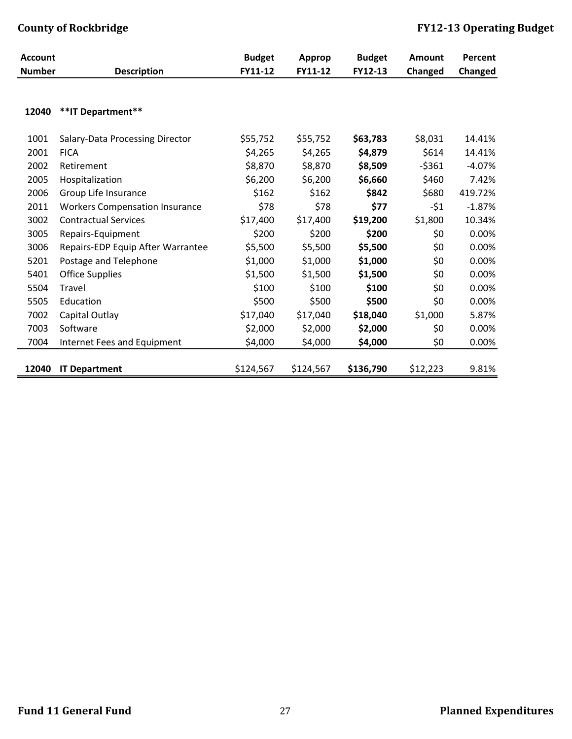| <b>Account</b> |                                       | <b>Budget</b> | Approp    | <b>Budget</b> | <b>Amount</b> | Percent  |
|----------------|---------------------------------------|---------------|-----------|---------------|---------------|----------|
| <b>Number</b>  | <b>Description</b>                    | FY11-12       | FY11-12   | FY12-13       | Changed       | Changed  |
|                |                                       |               |           |               |               |          |
|                |                                       |               |           |               |               |          |
| 12040          | **IT Department**                     |               |           |               |               |          |
| 1001           | Salary-Data Processing Director       | \$55,752      | \$55,752  | \$63,783      | \$8,031       | 14.41%   |
| 2001           | <b>FICA</b>                           | \$4,265       | \$4,265   | \$4,879       | \$614         | 14.41%   |
| 2002           | Retirement                            | \$8,870       | \$8,870   | \$8,509       | $-5361$       | $-4.07%$ |
| 2005           | Hospitalization                       | \$6,200       | \$6,200   | \$6,660       | \$460         | 7.42%    |
| 2006           | Group Life Insurance                  | \$162         | \$162     | \$842         | \$680         | 419.72%  |
| 2011           | <b>Workers Compensation Insurance</b> | \$78          | \$78      | \$77          | -\$1          | $-1.87%$ |
| 3002           | <b>Contractual Services</b>           | \$17,400      | \$17,400  | \$19,200      | \$1,800       | 10.34%   |
| 3005           | Repairs-Equipment                     | \$200         | \$200     | \$200         | \$0           | 0.00%    |
| 3006           | Repairs-EDP Equip After Warrantee     | \$5,500       | \$5,500   | \$5,500       | \$0           | 0.00%    |
| 5201           | Postage and Telephone                 | \$1,000       | \$1,000   | \$1,000       | \$0           | 0.00%    |
| 5401           | <b>Office Supplies</b>                | \$1,500       | \$1,500   | \$1,500       | \$0           | 0.00%    |
| 5504           | Travel                                | \$100         | \$100     | \$100         | \$0           | 0.00%    |
| 5505           | Education                             | \$500         | \$500     | \$500         | \$0           | 0.00%    |
| 7002           | Capital Outlay                        | \$17,040      | \$17,040  | \$18,040      | \$1,000       | 5.87%    |
| 7003           | Software                              | \$2,000       | \$2,000   | \$2,000       | \$0           | 0.00%    |
| 7004           | Internet Fees and Equipment           | \$4,000       | \$4,000   | \$4,000       | \$0           | 0.00%    |
|                |                                       |               |           |               |               |          |
| 12040          | <b>IT Department</b>                  | \$124,567     | \$124,567 | \$136,790     | \$12,223      | 9.81%    |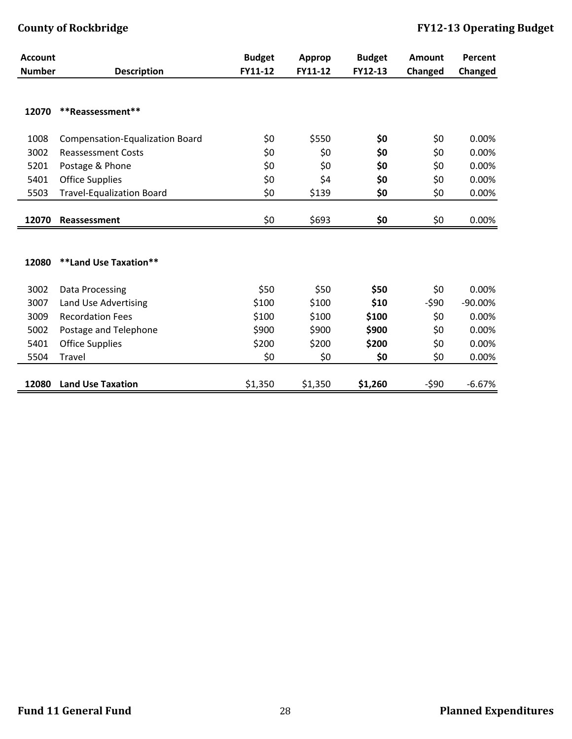| Changed<br>Changed  |
|---------------------|
|                     |
|                     |
|                     |
| \$0<br>0.00%        |
| \$0<br>0.00%        |
| \$0<br>0.00%        |
| \$0<br>0.00%        |
| \$0<br>0.00%        |
|                     |
| \$0<br>0.00%        |
|                     |
|                     |
| \$0<br>0.00%        |
| $-590$<br>$-90.00%$ |
| \$0<br>0.00%        |
| \$0<br>0.00%        |
| \$0<br>0.00%        |
| \$0<br>0.00%        |
| $-590$<br>$-6.67%$  |
|                     |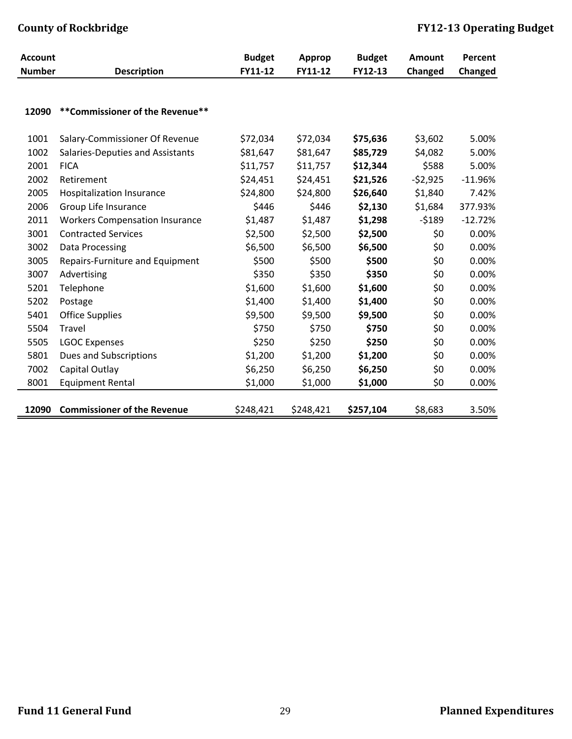| <b>Account</b> |                                       | <b>Budget</b> | <b>Approp</b> | <b>Budget</b> | Amount    | Percent   |
|----------------|---------------------------------------|---------------|---------------|---------------|-----------|-----------|
| <b>Number</b>  | <b>Description</b>                    | FY11-12       | FY11-12       | FY12-13       | Changed   | Changed   |
|                |                                       |               |               |               |           |           |
| 12090          | **Commissioner of the Revenue**       |               |               |               |           |           |
| 1001           | Salary-Commissioner Of Revenue        | \$72,034      | \$72,034      | \$75,636      | \$3,602   | 5.00%     |
| 1002           | Salaries-Deputies and Assistants      | \$81,647      | \$81,647      | \$85,729      | \$4,082   | 5.00%     |
| 2001           | <b>FICA</b>                           | \$11,757      | \$11,757      | \$12,344      | \$588     | 5.00%     |
| 2002           | Retirement                            | \$24,451      | \$24,451      | \$21,526      | $-52,925$ | $-11.96%$ |
| 2005           | <b>Hospitalization Insurance</b>      | \$24,800      | \$24,800      | \$26,640      | \$1,840   | 7.42%     |
| 2006           | Group Life Insurance                  | \$446         | \$446         | \$2,130       | \$1,684   | 377.93%   |
| 2011           | <b>Workers Compensation Insurance</b> | \$1,487       | \$1,487       | \$1,298       | $-5189$   | $-12.72%$ |
| 3001           | <b>Contracted Services</b>            | \$2,500       | \$2,500       | \$2,500       | \$0       | 0.00%     |
| 3002           | Data Processing                       | \$6,500       | \$6,500       | \$6,500       | \$0       | 0.00%     |
| 3005           | Repairs-Furniture and Equipment       | \$500         | \$500         | \$500         | \$0       | 0.00%     |
| 3007           | Advertising                           | \$350         | \$350         | \$350         | \$0       | 0.00%     |
| 5201           | Telephone                             | \$1,600       | \$1,600       | \$1,600       | \$0       | 0.00%     |
| 5202           | Postage                               | \$1,400       | \$1,400       | \$1,400       | \$0       | 0.00%     |
| 5401           | <b>Office Supplies</b>                | \$9,500       | \$9,500       | \$9,500       | \$0       | 0.00%     |
| 5504           | Travel                                | \$750         | \$750         | \$750         | \$0       | 0.00%     |
| 5505           | <b>LGOC Expenses</b>                  | \$250         | \$250         | \$250         | \$0       | 0.00%     |
| 5801           | <b>Dues and Subscriptions</b>         | \$1,200       | \$1,200       | \$1,200       | \$0       | 0.00%     |
| 7002           | Capital Outlay                        | \$6,250       | \$6,250       | \$6,250       | \$0       | 0.00%     |
| 8001           | <b>Equipment Rental</b>               | \$1,000       | \$1,000       | \$1,000       | \$0       | 0.00%     |
| 12090          | <b>Commissioner of the Revenue</b>    | \$248,421     | \$248,421     | \$257,104     | \$8,683   | 3.50%     |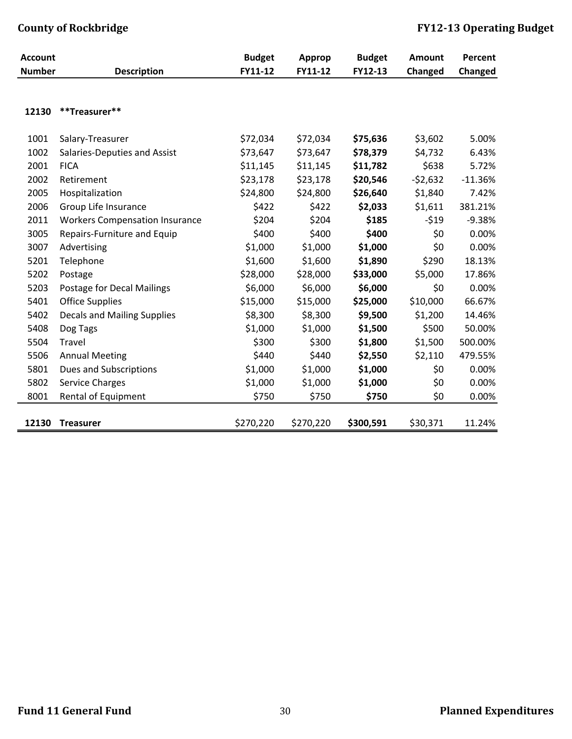| <b>Account</b> |                                       | <b>Budget</b> | <b>Approp</b> | <b>Budget</b> | Amount    | Percent   |
|----------------|---------------------------------------|---------------|---------------|---------------|-----------|-----------|
| <b>Number</b>  | <b>Description</b>                    | FY11-12       | FY11-12       | FY12-13       | Changed   | Changed   |
|                |                                       |               |               |               |           |           |
| 12130          | **Treasurer**                         |               |               |               |           |           |
| 1001           | Salary-Treasurer                      | \$72,034      | \$72,034      | \$75,636      | \$3,602   | 5.00%     |
| 1002           | Salaries-Deputies and Assist          | \$73,647      | \$73,647      | \$78,379      | \$4,732   | 6.43%     |
| 2001           | <b>FICA</b>                           | \$11,145      | \$11,145      | \$11,782      | \$638     | 5.72%     |
| 2002           | Retirement                            | \$23,178      | \$23,178      | \$20,546      | $-52,632$ | $-11.36%$ |
| 2005           | Hospitalization                       | \$24,800      | \$24,800      | \$26,640      | \$1,840   | 7.42%     |
| 2006           | Group Life Insurance                  | \$422         | \$422         | \$2,033       | \$1,611   | 381.21%   |
| 2011           | <b>Workers Compensation Insurance</b> | \$204         | \$204         | \$185         | $-519$    | $-9.38%$  |
| 3005           | Repairs-Furniture and Equip           | \$400         | \$400         | \$400         | \$0       | 0.00%     |
| 3007           | Advertising                           | \$1,000       | \$1,000       | \$1,000       | \$0       | 0.00%     |
| 5201           | Telephone                             | \$1,600       | \$1,600       | \$1,890       | \$290     | 18.13%    |
| 5202           | Postage                               | \$28,000      | \$28,000      | \$33,000      | \$5,000   | 17.86%    |
| 5203           | Postage for Decal Mailings            | \$6,000       | \$6,000       | \$6,000       | \$0       | 0.00%     |
| 5401           | <b>Office Supplies</b>                | \$15,000      | \$15,000      | \$25,000      | \$10,000  | 66.67%    |
| 5402           | <b>Decals and Mailing Supplies</b>    | \$8,300       | \$8,300       | \$9,500       | \$1,200   | 14.46%    |
| 5408           | Dog Tags                              | \$1,000       | \$1,000       | \$1,500       | \$500     | 50.00%    |
| 5504           | Travel                                | \$300         | \$300         | \$1,800       | \$1,500   | 500.00%   |
| 5506           | <b>Annual Meeting</b>                 | \$440         | \$440         | \$2,550       | \$2,110   | 479.55%   |
| 5801           | Dues and Subscriptions                | \$1,000       | \$1,000       | \$1,000       | \$0       | 0.00%     |
| 5802           | <b>Service Charges</b>                | \$1,000       | \$1,000       | \$1,000       | \$0       | 0.00%     |
| 8001           | Rental of Equipment                   | \$750         | \$750         | \$750         | \$0       | 0.00%     |
| 12130          | <b>Treasurer</b>                      | \$270,220     | \$270,220     | \$300,591     | \$30,371  | 11.24%    |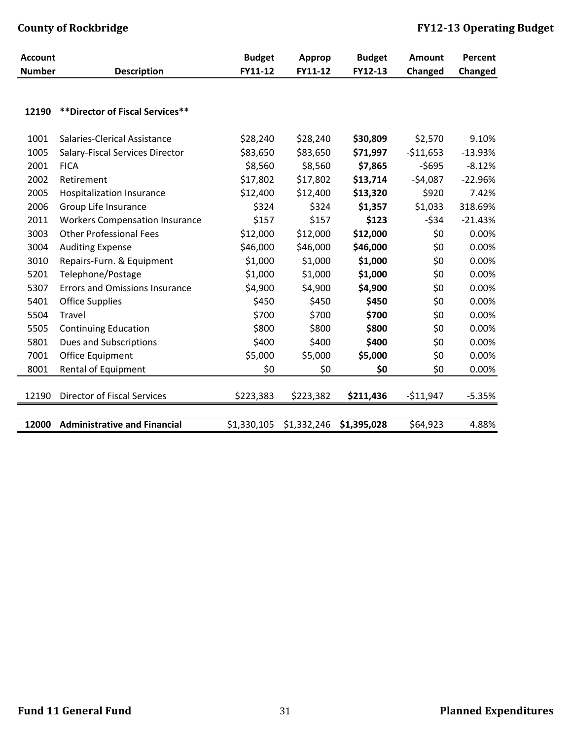| <b>Account</b> |                                       | <b>Budget</b> | <b>Approp</b> | <b>Budget</b> | <b>Amount</b> | Percent   |
|----------------|---------------------------------------|---------------|---------------|---------------|---------------|-----------|
| <b>Number</b>  | <b>Description</b>                    | FY11-12       | FY11-12       | FY12-13       | Changed       | Changed   |
|                |                                       |               |               |               |               |           |
| 12190          | ** Director of Fiscal Services**      |               |               |               |               |           |
| 1001           | Salaries-Clerical Assistance          | \$28,240      | \$28,240      | \$30,809      | \$2,570       | 9.10%     |
| 1005           | Salary-Fiscal Services Director       | \$83,650      | \$83,650      | \$71,997      | $-511,653$    | $-13.93%$ |
| 2001           | <b>FICA</b>                           | \$8,560       | \$8,560       | \$7,865       | $-5695$       | $-8.12%$  |
| 2002           | Retirement                            | \$17,802      | \$17,802      | \$13,714      | $-54,087$     | $-22.96%$ |
| 2005           | <b>Hospitalization Insurance</b>      | \$12,400      | \$12,400      | \$13,320      | \$920         | 7.42%     |
| 2006           | Group Life Insurance                  | \$324         | \$324         | \$1,357       | \$1,033       | 318.69%   |
| 2011           | <b>Workers Compensation Insurance</b> | \$157         | \$157         | \$123         | $-534$        | $-21.43%$ |
| 3003           | <b>Other Professional Fees</b>        | \$12,000      | \$12,000      | \$12,000      | \$0           | 0.00%     |
| 3004           | <b>Auditing Expense</b>               | \$46,000      | \$46,000      | \$46,000      | \$0           | 0.00%     |
| 3010           | Repairs-Furn. & Equipment             | \$1,000       | \$1,000       | \$1,000       | \$0           | 0.00%     |
| 5201           | Telephone/Postage                     | \$1,000       | \$1,000       | \$1,000       | \$0           | 0.00%     |
| 5307           | <b>Errors and Omissions Insurance</b> | \$4,900       | \$4,900       | \$4,900       | \$0           | 0.00%     |
| 5401           | <b>Office Supplies</b>                | \$450         | \$450         | \$450         | \$0           | 0.00%     |
| 5504           | Travel                                | \$700         | \$700         | \$700         | \$0           | 0.00%     |
| 5505           | <b>Continuing Education</b>           | \$800         | \$800         | \$800         | \$0           | 0.00%     |
| 5801           | <b>Dues and Subscriptions</b>         | \$400         | \$400         | \$400         | \$0           | 0.00%     |
| 7001           | Office Equipment                      | \$5,000       | \$5,000       | \$5,000       | \$0           | 0.00%     |
| 8001           | Rental of Equipment                   | \$0           | \$0           | \$0           | \$0           | 0.00%     |
| 12190          | <b>Director of Fiscal Services</b>    | \$223,383     | \$223,382     | \$211,436     | $-511,947$    | $-5.35%$  |
|                |                                       |               |               |               |               |           |
| 12000          | <b>Administrative and Financial</b>   | \$1,330,105   | \$1,332,246   | \$1,395,028   | \$64,923      | 4.88%     |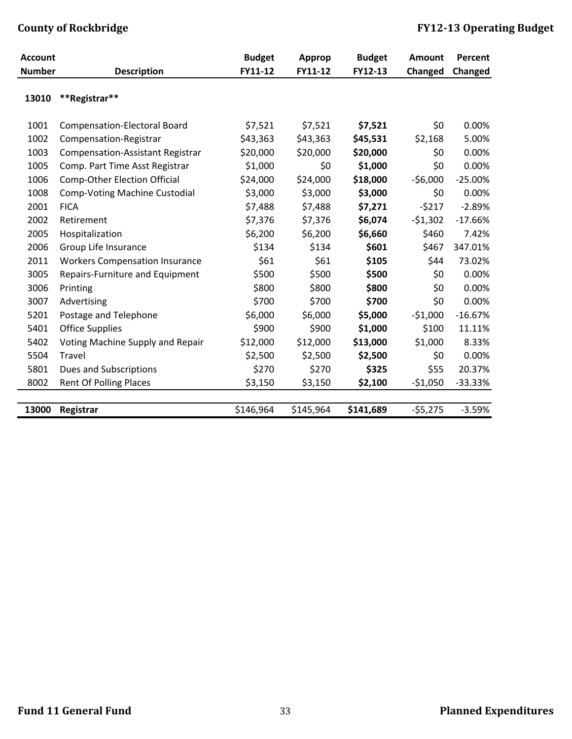| <b>Account</b> |                                         | <b>Budget</b> | Approp    | <b>Budget</b> | Amount    | Percent   |
|----------------|-----------------------------------------|---------------|-----------|---------------|-----------|-----------|
| <b>Number</b>  | <b>Description</b>                      | FY11-12       | FY11-12   | FY12-13       | Changed   | Changed   |
| 13010          | **Registrar**                           |               |           |               |           |           |
| 1001           | <b>Compensation-Electoral Board</b>     | \$7,521       | \$7,521   | \$7,521       | \$0       | 0.00%     |
| 1002           | Compensation-Registrar                  | \$43,363      | \$43,363  | \$45,531      | \$2,168   | 5.00%     |
| 1003           | <b>Compensation-Assistant Registrar</b> | \$20,000      | \$20,000  | \$20,000      | \$0       | 0.00%     |
| 1005           | Comp. Part Time Asst Registrar          | \$1,000       | \$0       | \$1,000       | \$0       | 0.00%     |
| 1006           | <b>Comp-Other Election Official</b>     | \$24,000      | \$24,000  | \$18,000      | $-56,000$ | $-25.00%$ |
| 1008           | <b>Comp-Voting Machine Custodial</b>    | \$3,000       | \$3,000   | \$3,000       | \$0       | 0.00%     |
| 2001           | <b>FICA</b>                             | \$7,488       | \$7,488   | \$7,271       | $-5217$   | $-2.89%$  |
| 2002           | Retirement                              | \$7,376       | \$7,376   | \$6,074       | $-51,302$ | $-17.66%$ |
| 2005           | Hospitalization                         | \$6,200       | \$6,200   | \$6,660       | \$460     | 7.42%     |
| 2006           | Group Life Insurance                    | \$134         | \$134     | \$601         | \$467     | 347.01%   |
| 2011           | <b>Workers Compensation Insurance</b>   | \$61          | \$61      | \$105         | \$44      | 73.02%    |
| 3005           | Repairs-Furniture and Equipment         | \$500         | \$500     | \$500         | \$0       | 0.00%     |
| 3006           | Printing                                | \$800         | \$800     | \$800         | \$0       | 0.00%     |
| 3007           | Advertising                             | \$700         | \$700     | \$700         | \$0       | 0.00%     |
| 5201           | Postage and Telephone                   | \$6,000       | \$6,000   | \$5,000       | $-51,000$ | $-16.67%$ |
| 5401           | <b>Office Supplies</b>                  | \$900         | \$900     | \$1,000       | \$100     | 11.11%    |
| 5402           | Voting Machine Supply and Repair        | \$12,000      | \$12,000  | \$13,000      | \$1,000   | 8.33%     |
| 5504           | Travel                                  | \$2,500       | \$2,500   | \$2,500       | \$0       | 0.00%     |
| 5801           | <b>Dues and Subscriptions</b>           | \$270         | \$270     | \$325         | \$55      | 20.37%    |
| 8002           | <b>Rent Of Polling Places</b>           | \$3,150       | \$3,150   | \$2,100       | $-51,050$ | $-33.33%$ |
|                |                                         |               |           |               |           |           |
| 13000          | Registrar                               | \$146,964     | \$145,964 | \$141,689     | $-55,275$ | $-3.59%$  |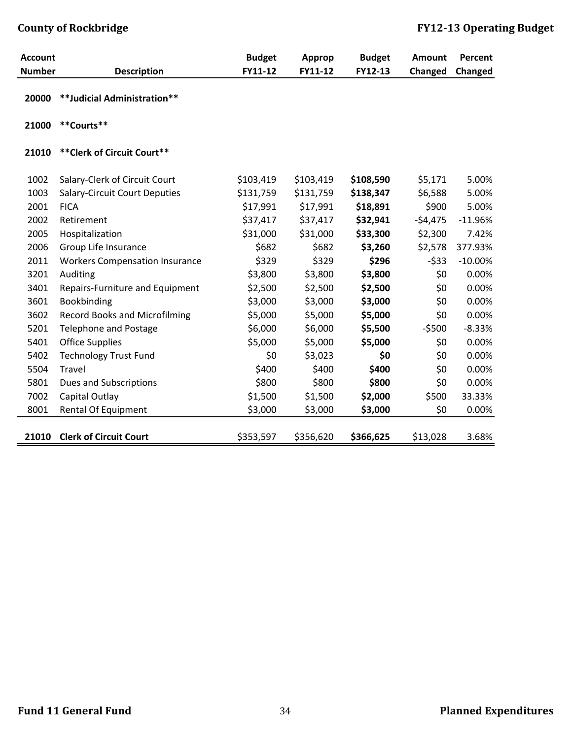| <b>Account</b> |                                       | <b>Budget</b> | <b>Approp</b> | <b>Budget</b> | Amount    | Percent   |
|----------------|---------------------------------------|---------------|---------------|---------------|-----------|-----------|
| <b>Number</b>  | <b>Description</b>                    | FY11-12       | FY11-12       | FY12-13       | Changed   | Changed   |
| 20000          | **Judicial Administration**           |               |               |               |           |           |
| 21000          | **Courts**                            |               |               |               |           |           |
| 21010          | ** Clerk of Circuit Court**           |               |               |               |           |           |
| 1002           | Salary-Clerk of Circuit Court         | \$103,419     | \$103,419     | \$108,590     | \$5,171   | 5.00%     |
| 1003           | <b>Salary-Circuit Court Deputies</b>  | \$131,759     | \$131,759     | \$138,347     | \$6,588   | 5.00%     |
| 2001           | <b>FICA</b>                           | \$17,991      | \$17,991      | \$18,891      | \$900     | 5.00%     |
| 2002           | Retirement                            | \$37,417      | \$37,417      | \$32,941      | $-54,475$ | $-11.96%$ |
| 2005           | Hospitalization                       | \$31,000      | \$31,000      | \$33,300      | \$2,300   | 7.42%     |
| 2006           | Group Life Insurance                  | \$682         | \$682         | \$3,260       | \$2,578   | 377.93%   |
| 2011           | <b>Workers Compensation Insurance</b> | \$329         | \$329         | \$296         | $-533$    | $-10.00%$ |
| 3201           | Auditing                              | \$3,800       | \$3,800       | \$3,800       | \$0       | 0.00%     |
| 3401           | Repairs-Furniture and Equipment       | \$2,500       | \$2,500       | \$2,500       | \$0       | 0.00%     |
| 3601           | Bookbinding                           | \$3,000       | \$3,000       | \$3,000       | \$0       | 0.00%     |
| 3602           | <b>Record Books and Microfilming</b>  | \$5,000       | \$5,000       | \$5,000       | \$0       | 0.00%     |
| 5201           | <b>Telephone and Postage</b>          | \$6,000       | \$6,000       | \$5,500       | $-5500$   | $-8.33%$  |
| 5401           | <b>Office Supplies</b>                | \$5,000       | \$5,000       | \$5,000       | \$0       | 0.00%     |
| 5402           | <b>Technology Trust Fund</b>          | \$0           | \$3,023       | \$0           | \$0       | 0.00%     |
| 5504           | Travel                                | \$400         | \$400         | \$400         | \$0       | 0.00%     |
| 5801           | <b>Dues and Subscriptions</b>         | \$800         | \$800         | \$800         | \$0       | 0.00%     |
| 7002           | Capital Outlay                        | \$1,500       | \$1,500       | \$2,000       | \$500     | 33.33%    |
| 8001           | Rental Of Equipment                   | \$3,000       | \$3,000       | \$3,000       | \$0       | 0.00%     |
| 21010          | <b>Clerk of Circuit Court</b>         | \$353,597     | \$356,620     | \$366,625     | \$13,028  | 3.68%     |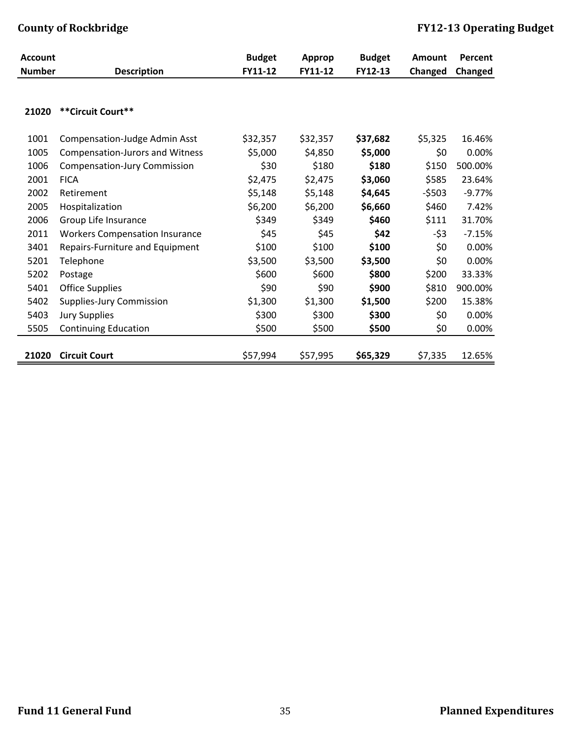| <b>Account</b> |                                        | <b>Budget</b> | Approp   | <b>Budget</b> | Amount  | Percent  |
|----------------|----------------------------------------|---------------|----------|---------------|---------|----------|
| <b>Number</b>  | <b>Description</b>                     | FY11-12       | FY11-12  | FY12-13       | Changed | Changed  |
| 21020          | ** Circuit Court**                     |               |          |               |         |          |
|                |                                        |               |          |               |         |          |
| 1001           | <b>Compensation-Judge Admin Asst</b>   | \$32,357      | \$32,357 | \$37,682      | \$5,325 | 16.46%   |
| 1005           | <b>Compensation-Jurors and Witness</b> | \$5,000       | \$4,850  | \$5,000       | \$0     | 0.00%    |
| 1006           | <b>Compensation-Jury Commission</b>    | \$30          | \$180    | \$180         | \$150   | 500.00%  |
| 2001           | <b>FICA</b>                            | \$2,475       | \$2,475  | \$3,060       | \$585   | 23.64%   |
| 2002           | Retirement                             | \$5,148       | \$5,148  | \$4,645       | $-5503$ | $-9.77%$ |
| 2005           | Hospitalization                        | \$6,200       | \$6,200  | \$6,660       | \$460   | 7.42%    |
| 2006           | Group Life Insurance                   | \$349         | \$349    | \$460         | \$111   | 31.70%   |
| 2011           | <b>Workers Compensation Insurance</b>  | \$45          | \$45     | \$42          | $-53$   | $-7.15%$ |
| 3401           | Repairs-Furniture and Equipment        | \$100         | \$100    | \$100         | \$0     | 0.00%    |
| 5201           | Telephone                              | \$3,500       | \$3,500  | \$3,500       | \$0     | 0.00%    |
| 5202           | Postage                                | \$600         | \$600    | \$800         | \$200   | 33.33%   |
| 5401           | <b>Office Supplies</b>                 | \$90          | \$90     | \$900         | \$810   | 900.00%  |
| 5402           | Supplies-Jury Commission               | \$1,300       | \$1,300  | \$1,500       | \$200   | 15.38%   |
| 5403           | <b>Jury Supplies</b>                   | \$300         | \$300    | \$300         | \$0     | 0.00%    |
| 5505           | <b>Continuing Education</b>            | \$500         | \$500    | \$500         | \$0     | 0.00%    |
|                |                                        |               |          |               |         |          |
| 21020          | <b>Circuit Court</b>                   | \$57,994      | \$57,995 | \$65,329      | \$7,335 | 12.65%   |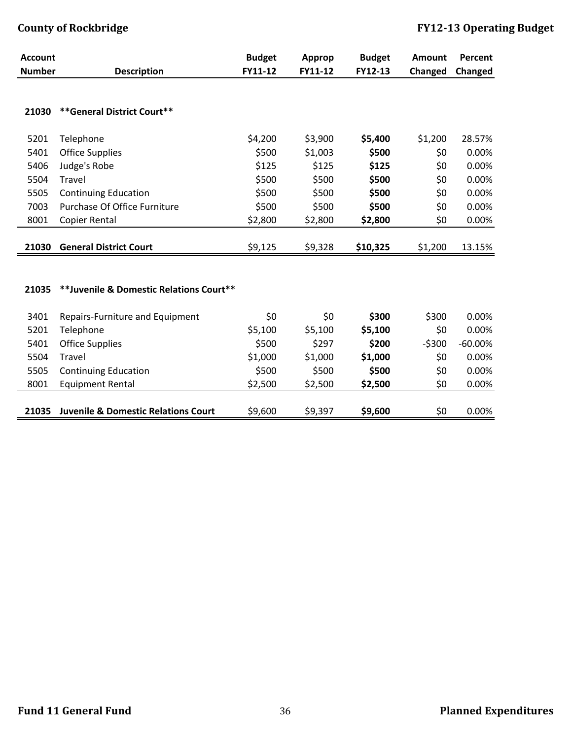| <b>Account</b> |                                                | <b>Budget</b> | Approp  | <b>Budget</b> | Amount  | Percent   |
|----------------|------------------------------------------------|---------------|---------|---------------|---------|-----------|
| <b>Number</b>  | <b>Description</b>                             | FY11-12       | FY11-12 | FY12-13       | Changed | Changed   |
|                |                                                |               |         |               |         |           |
| 21030          | ** General District Court**                    |               |         |               |         |           |
|                |                                                |               |         |               |         |           |
| 5201           | Telephone                                      | \$4,200       | \$3,900 | \$5,400       | \$1,200 | 28.57%    |
| 5401           | <b>Office Supplies</b>                         | \$500         | \$1,003 | \$500         | \$0     | 0.00%     |
| 5406           | Judge's Robe                                   | \$125         | \$125   | \$125         | \$0     | 0.00%     |
| 5504           | Travel                                         | \$500         | \$500   | \$500         | \$0     | 0.00%     |
| 5505           | <b>Continuing Education</b>                    | \$500         | \$500   | \$500         | \$0     | 0.00%     |
| 7003           | Purchase Of Office Furniture                   | \$500         | \$500   | \$500         | \$0     | 0.00%     |
| 8001           | Copier Rental                                  | \$2,800       | \$2,800 | \$2,800       | \$0     | 0.00%     |
|                |                                                |               |         |               |         |           |
| 21030          | <b>General District Court</b>                  | \$9,125       | \$9,328 | \$10,325      | \$1,200 | 13.15%    |
|                |                                                |               |         |               |         |           |
|                |                                                |               |         |               |         |           |
| 21035          | **Juvenile & Domestic Relations Court**        |               |         |               |         |           |
|                |                                                |               |         |               |         |           |
| 3401           | Repairs-Furniture and Equipment                | \$0           | \$0     | \$300         | \$300   | 0.00%     |
| 5201           | Telephone                                      | \$5,100       | \$5,100 | \$5,100       | \$0     | 0.00%     |
| 5401           | <b>Office Supplies</b>                         | \$500         | \$297   | \$200         | $-5300$ | $-60.00%$ |
| 5504           | Travel                                         | \$1,000       | \$1,000 | \$1,000       | \$0     | 0.00%     |
| 5505           | <b>Continuing Education</b>                    | \$500         | \$500   | \$500         | \$0     | 0.00%     |
| 8001           | <b>Equipment Rental</b>                        | \$2,500       | \$2,500 | \$2,500       | \$0     | 0.00%     |
|                |                                                |               |         |               |         |           |
| 21035          | <b>Juvenile &amp; Domestic Relations Court</b> | \$9,600       | \$9,397 | \$9,600       | \$0     | 0.00%     |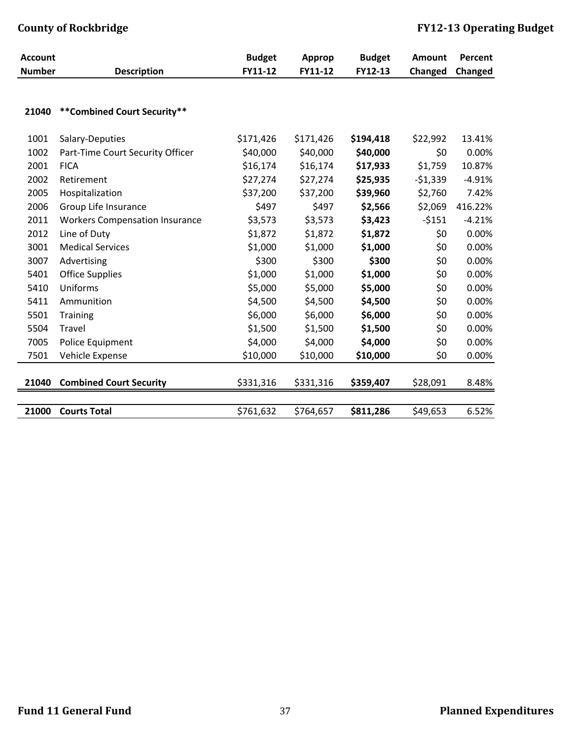| <b>Account</b> |                                       | <b>Budget</b> | <b>Approp</b> | <b>Budget</b> | <b>Amount</b> | Percent  |
|----------------|---------------------------------------|---------------|---------------|---------------|---------------|----------|
| <b>Number</b>  | <b>Description</b>                    | FY11-12       | FY11-12       | FY12-13       | Changed       | Changed  |
| 21040          | ** Combined Court Security**          |               |               |               |               |          |
|                |                                       |               |               |               |               |          |
| 1001           | Salary-Deputies                       | \$171,426     | \$171,426     | \$194,418     | \$22,992      | 13.41%   |
| 1002           | Part-Time Court Security Officer      | \$40,000      | \$40,000      | \$40,000      | \$0           | 0.00%    |
| 2001           | <b>FICA</b>                           | \$16,174      | \$16,174      | \$17,933      | \$1,759       | 10.87%   |
| 2002           | Retirement                            | \$27,274      | \$27,274      | \$25,935      | $-51,339$     | $-4.91%$ |
| 2005           | Hospitalization                       | \$37,200      | \$37,200      | \$39,960      | \$2,760       | 7.42%    |
| 2006           | Group Life Insurance                  | \$497         | \$497         | \$2,566       | \$2,069       | 416.22%  |
| 2011           | <b>Workers Compensation Insurance</b> | \$3,573       | \$3,573       | \$3,423       | $-5151$       | $-4.21%$ |
| 2012           | Line of Duty                          | \$1,872       | \$1,872       | \$1,872       | \$0           | 0.00%    |
| 3001           | <b>Medical Services</b>               | \$1,000       | \$1,000       | \$1,000       | \$0           | 0.00%    |
| 3007           | Advertising                           | \$300         | \$300         | \$300         | \$0           | 0.00%    |
| 5401           | <b>Office Supplies</b>                | \$1,000       | \$1,000       | \$1,000       | \$0           | 0.00%    |
| 5410           | Uniforms                              | \$5,000       | \$5,000       | \$5,000       | \$0           | 0.00%    |
| 5411           | Ammunition                            | \$4,500       | \$4,500       | \$4,500       | \$0           | 0.00%    |
| 5501           | <b>Training</b>                       | \$6,000       | \$6,000       | \$6,000       | \$0           | 0.00%    |
| 5504           | Travel                                | \$1,500       | \$1,500       | \$1,500       | \$0           | 0.00%    |
| 7005           | Police Equipment                      | \$4,000       | \$4,000       | \$4,000       | \$0           | 0.00%    |
| 7501           | Vehicle Expense                       | \$10,000      | \$10,000      | \$10,000      | \$0           | 0.00%    |
|                |                                       |               |               |               |               |          |
| 21040          | <b>Combined Court Security</b>        | \$331,316     | \$331,316     | \$359,407     | \$28,091      | 8.48%    |
|                |                                       |               |               |               |               |          |
| 21000          | <b>Courts Total</b>                   | \$761,632     | \$764,657     | \$811,286     | \$49,653      | 6.52%    |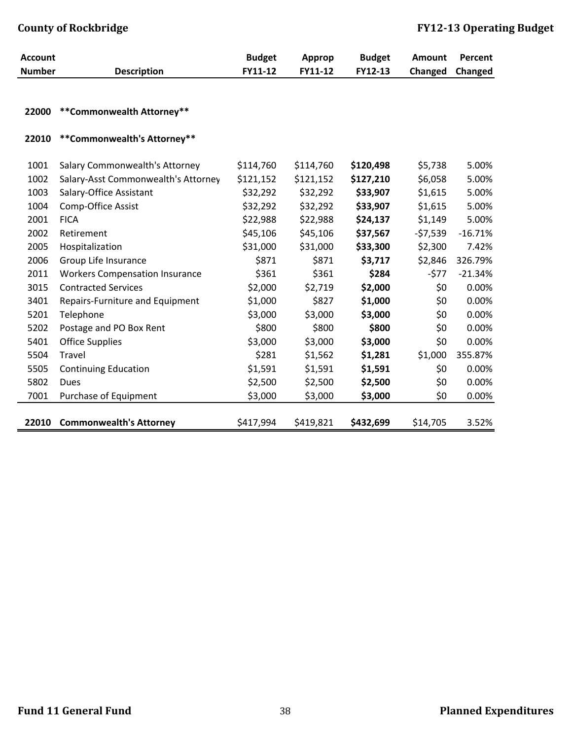| <b>Account</b> |                                                                       | <b>Budget</b>          | <b>Approp</b>          | <b>Budget</b>          | <b>Amount</b>      | Percent   |
|----------------|-----------------------------------------------------------------------|------------------------|------------------------|------------------------|--------------------|-----------|
| <b>Number</b>  | <b>Description</b>                                                    | FY11-12                | FY11-12                | FY12-13                | Changed            | Changed   |
|                |                                                                       |                        |                        |                        |                    |           |
| 22000          | **Commonwealth Attorney**                                             |                        |                        |                        |                    |           |
|                |                                                                       |                        |                        |                        |                    |           |
| 22010          | **Commonwealth's Attorney**                                           |                        |                        |                        |                    |           |
| 1001           |                                                                       |                        |                        |                        |                    | 5.00%     |
| 1002           | Salary Commonwealth's Attorney<br>Salary-Asst Commonwealth's Attorney | \$114,760<br>\$121,152 | \$114,760<br>\$121,152 | \$120,498<br>\$127,210 | \$5,738<br>\$6,058 | 5.00%     |
| 1003           | Salary-Office Assistant                                               | \$32,292               | \$32,292               | \$33,907               | \$1,615            | 5.00%     |
|                |                                                                       |                        |                        |                        |                    |           |
| 1004           | Comp-Office Assist                                                    | \$32,292               | \$32,292               | \$33,907               | \$1,615            | 5.00%     |
| 2001           | <b>FICA</b>                                                           | \$22,988               | \$22,988               | \$24,137               | \$1,149            | 5.00%     |
| 2002           | Retirement                                                            | \$45,106               | \$45,106               | \$37,567               | $-57,539$          | $-16.71%$ |
| 2005           | Hospitalization                                                       | \$31,000               | \$31,000               | \$33,300               | \$2,300            | 7.42%     |
| 2006           | Group Life Insurance                                                  | \$871                  | \$871                  | \$3,717                | \$2,846            | 326.79%   |
| 2011           | <b>Workers Compensation Insurance</b>                                 | \$361                  | \$361                  | \$284                  | $-577$             | $-21.34%$ |
| 3015           | <b>Contracted Services</b>                                            | \$2,000                | \$2,719                | \$2,000                | \$0                | 0.00%     |
| 3401           | Repairs-Furniture and Equipment                                       | \$1,000                | \$827                  | \$1,000                | \$0                | 0.00%     |
| 5201           | Telephone                                                             | \$3,000                | \$3,000                | \$3,000                | \$0                | 0.00%     |
| 5202           | Postage and PO Box Rent                                               | \$800                  | \$800                  | \$800                  | \$0                | 0.00%     |
| 5401           | <b>Office Supplies</b>                                                | \$3,000                | \$3,000                | \$3,000                | \$0                | 0.00%     |
| 5504           | Travel                                                                | \$281                  | \$1,562                | \$1,281                | \$1,000            | 355.87%   |
| 5505           | <b>Continuing Education</b>                                           | \$1,591                | \$1,591                | \$1,591                | \$0                | 0.00%     |
| 5802           | Dues                                                                  | \$2,500                | \$2,500                | \$2,500                | \$0                | 0.00%     |
| 7001           | Purchase of Equipment                                                 | \$3,000                | \$3,000                | \$3,000                | \$0                | 0.00%     |
|                |                                                                       |                        |                        |                        |                    |           |
| 22010          | <b>Commonwealth's Attorney</b>                                        | \$417,994              | \$419,821              | \$432,699              | \$14,705           | 3.52%     |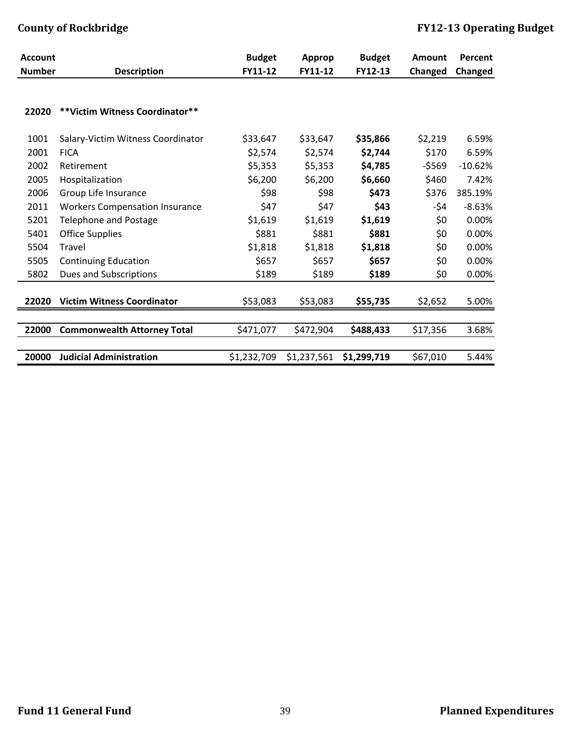| <b>Account</b> |                                       | <b>Budget</b> | Approp      | <b>Budget</b> | <b>Amount</b> | Percent   |
|----------------|---------------------------------------|---------------|-------------|---------------|---------------|-----------|
| <b>Number</b>  | <b>Description</b>                    | FY11-12       | FY11-12     | FY12-13       | Changed       | Changed   |
| 22020          | ** Victim Witness Coordinator**       |               |             |               |               |           |
| 1001           | Salary-Victim Witness Coordinator     | \$33,647      | \$33,647    | \$35,866      | \$2,219       | 6.59%     |
| 2001           | <b>FICA</b>                           | \$2,574       | \$2,574     | \$2,744       | \$170         | 6.59%     |
| 2002           | Retirement                            | \$5,353       | \$5,353     | \$4,785       | $-5569$       | $-10.62%$ |
| 2005           | Hospitalization                       | \$6,200       | \$6,200     | \$6,660       | \$460         | 7.42%     |
| 2006           | Group Life Insurance                  | \$98          | \$98        | \$473         | \$376         | 385.19%   |
| 2011           | <b>Workers Compensation Insurance</b> | \$47          | \$47        | \$43          | -\$4          | $-8.63%$  |
| 5201           | <b>Telephone and Postage</b>          | \$1,619       | \$1,619     | \$1,619       | \$0           | 0.00%     |
| 5401           | <b>Office Supplies</b>                | \$881         | \$881       | \$881         | \$0           | 0.00%     |
| 5504           | Travel                                | \$1,818       | \$1,818     | \$1,818       | \$0           | 0.00%     |
| 5505           | <b>Continuing Education</b>           | \$657         | \$657       | \$657         | \$0           | 0.00%     |
| 5802           | Dues and Subscriptions                | \$189         | \$189       | \$189         | \$0           | 0.00%     |
| 22020          | <b>Victim Witness Coordinator</b>     | \$53,083      | \$53,083    | \$55,735      | \$2,652       | 5.00%     |
|                |                                       |               |             |               |               |           |
| 22000          | <b>Commonwealth Attorney Total</b>    | \$471,077     | \$472,904   | \$488,433     | \$17,356      | 3.68%     |
|                |                                       |               |             |               |               |           |
| 20000          | <b>Judicial Administration</b>        | \$1,232,709   | \$1,237,561 | \$1,299,719   | \$67,010      | 5.44%     |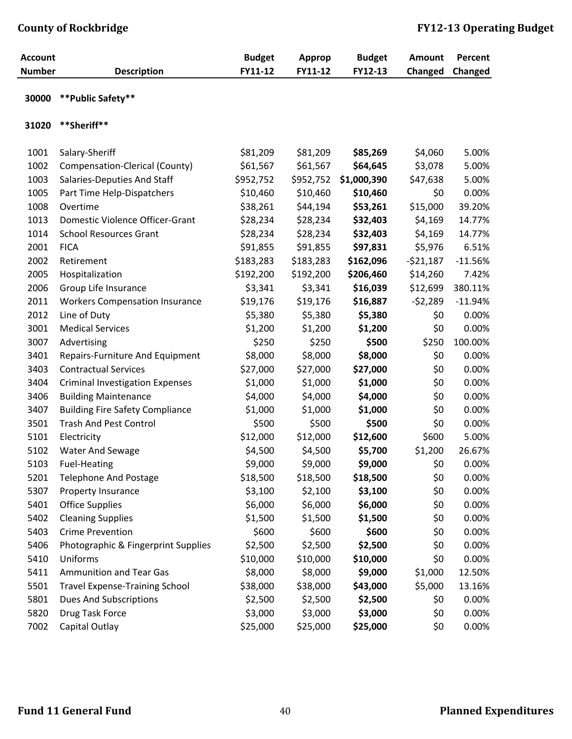| <b>Account</b><br><b>Number</b> | <b>Description</b>                     | <b>Budget</b><br>FY11-12 | <b>Approp</b><br>FY11-12 | <b>Budget</b><br>FY12-13 | <b>Amount</b><br>Changed | Percent<br>Changed |
|---------------------------------|----------------------------------------|--------------------------|--------------------------|--------------------------|--------------------------|--------------------|
| 30000                           | **Public Safety**                      |                          |                          |                          |                          |                    |
| 31020                           | **Sheriff**                            |                          |                          |                          |                          |                    |
| 1001                            | Salary-Sheriff                         | \$81,209                 | \$81,209                 | \$85,269                 | \$4,060                  | 5.00%              |
| 1002                            | Compensation-Clerical (County)         | \$61,567                 | \$61,567                 | \$64,645                 | \$3,078                  | 5.00%              |
| 1003                            | Salaries-Deputies And Staff            | \$952,752                | \$952,752                | \$1,000,390              | \$47,638                 | 5.00%              |
| 1005                            | Part Time Help-Dispatchers             | \$10,460                 | \$10,460                 | \$10,460                 | \$0                      | 0.00%              |
| 1008                            | Overtime                               | \$38,261                 | \$44,194                 | \$53,261                 | \$15,000                 | 39.20%             |
| 1013                            | Domestic Violence Officer-Grant        | \$28,234                 | \$28,234                 | \$32,403                 | \$4,169                  | 14.77%             |
| 1014                            | <b>School Resources Grant</b>          | \$28,234                 | \$28,234                 | \$32,403                 | \$4,169                  | 14.77%             |
| 2001                            | <b>FICA</b>                            | \$91,855                 | \$91,855                 | \$97,831                 | \$5,976                  | 6.51%              |
| 2002                            | Retirement                             | \$183,283                | \$183,283                | \$162,096                | $-521,187$               | $-11.56%$          |
| 2005                            | Hospitalization                        | \$192,200                | \$192,200                | \$206,460                | \$14,260                 | 7.42%              |
| 2006                            | Group Life Insurance                   | \$3,341                  | \$3,341                  | \$16,039                 | \$12,699                 | 380.11%            |
| 2011                            | <b>Workers Compensation Insurance</b>  | \$19,176                 | \$19,176                 | \$16,887                 | $-52,289$                | $-11.94%$          |
| 2012                            | Line of Duty                           | \$5,380                  | \$5,380                  | \$5,380                  | \$0                      | 0.00%              |
| 3001                            | <b>Medical Services</b>                | \$1,200                  | \$1,200                  | \$1,200                  | \$0                      | 0.00%              |
| 3007                            | Advertising                            | \$250                    | \$250                    | \$500                    | \$250                    | 100.00%            |
| 3401                            | Repairs-Furniture And Equipment        | \$8,000                  | \$8,000                  | \$8,000                  | \$0                      | 0.00%              |
| 3403                            | <b>Contractual Services</b>            | \$27,000                 | \$27,000                 | \$27,000                 | \$0                      | 0.00%              |
| 3404                            | <b>Criminal Investigation Expenses</b> | \$1,000                  | \$1,000                  | \$1,000                  | \$0                      | 0.00%              |
| 3406                            | <b>Building Maintenance</b>            | \$4,000                  | \$4,000                  | \$4,000                  | \$0                      | 0.00%              |
| 3407                            | <b>Building Fire Safety Compliance</b> | \$1,000                  | \$1,000                  | \$1,000                  | \$0                      | 0.00%              |
| 3501                            | <b>Trash And Pest Control</b>          | \$500                    | \$500                    | \$500                    | \$0                      | 0.00%              |
| 5101                            | Electricity                            | \$12,000                 | \$12,000                 | \$12,600                 | \$600                    | 5.00%              |
| 5102                            | Water And Sewage                       | \$4,500                  | \$4,500                  | \$5,700                  | \$1,200                  | 26.67%             |
| 5103                            | <b>Fuel-Heating</b>                    | \$9,000                  | \$9,000                  | \$9,000                  | \$0                      | 0.00%              |
| 5201                            | <b>Telephone And Postage</b>           | \$18,500                 | \$18,500                 | \$18,500                 | \$0                      | 0.00%              |
| 5307                            | Property Insurance                     | \$3,100                  | \$2,100                  | \$3,100                  | \$0                      | 0.00%              |
| 5401                            | <b>Office Supplies</b>                 | \$6,000                  | \$6,000                  | \$6,000                  | \$0                      | 0.00%              |
| 5402                            | <b>Cleaning Supplies</b>               | \$1,500                  | \$1,500                  | \$1,500                  | \$0                      | 0.00%              |
| 5403                            | <b>Crime Prevention</b>                | \$600                    | \$600                    | \$600                    | \$0                      | 0.00%              |
| 5406                            | Photographic & Fingerprint Supplies    | \$2,500                  | \$2,500                  | \$2,500                  | \$0                      | 0.00%              |
| 5410                            | Uniforms                               | \$10,000                 | \$10,000                 | \$10,000                 | \$0                      | 0.00%              |
| 5411                            | <b>Ammunition and Tear Gas</b>         | \$8,000                  | \$8,000                  | \$9,000                  | \$1,000                  | 12.50%             |
| 5501                            | <b>Travel Expense-Training School</b>  | \$38,000                 | \$38,000                 | \$43,000                 | \$5,000                  | 13.16%             |
| 5801                            | <b>Dues And Subscriptions</b>          | \$2,500                  | \$2,500                  | \$2,500                  | \$0                      | 0.00%              |
| 5820                            | Drug Task Force                        | \$3,000                  | \$3,000                  | \$3,000                  | \$0                      | 0.00%              |
| 7002                            | Capital Outlay                         | \$25,000                 | \$25,000                 | \$25,000                 | \$0                      | 0.00%              |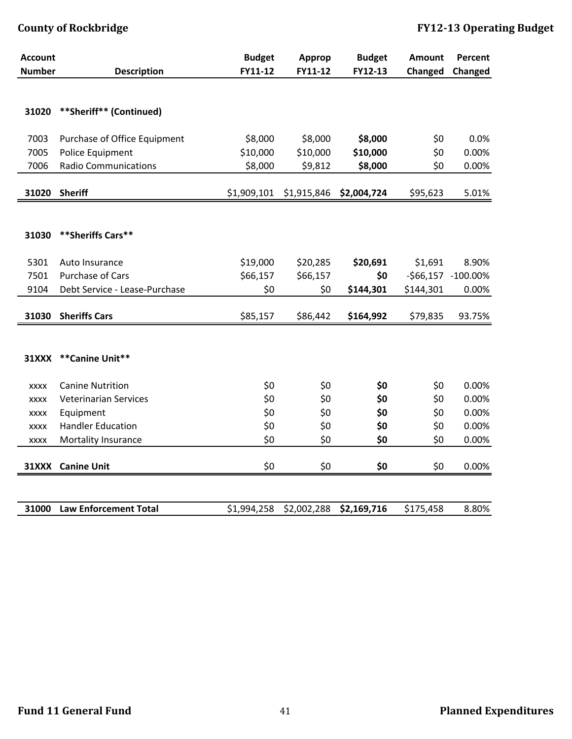| <b>Account</b><br><b>Number</b> | <b>Description</b>            | <b>Budget</b><br>FY11-12 | Approp<br>FY11-12 | <b>Budget</b><br>FY12-13 | <b>Amount</b><br>Changed | Percent<br>Changed |
|---------------------------------|-------------------------------|--------------------------|-------------------|--------------------------|--------------------------|--------------------|
|                                 |                               |                          |                   |                          |                          |                    |
|                                 |                               |                          |                   |                          |                          |                    |
| 31020                           | **Sheriff** (Continued)       |                          |                   |                          |                          |                    |
| 7003                            | Purchase of Office Equipment  | \$8,000                  | \$8,000           | \$8,000                  | \$0                      | 0.0%               |
| 7005                            | Police Equipment              | \$10,000                 | \$10,000          | \$10,000                 | \$0                      | 0.00%              |
| 7006                            | <b>Radio Communications</b>   | \$8,000                  | \$9,812           | \$8,000                  | \$0                      | 0.00%              |
|                                 |                               |                          |                   |                          |                          |                    |
| 31020                           | <b>Sheriff</b>                | \$1,909,101              | \$1,915,846       | \$2,004,724              | \$95,623                 | 5.01%              |
|                                 |                               |                          |                   |                          |                          |                    |
| 31030                           | **Sheriffs Cars**             |                          |                   |                          |                          |                    |
|                                 |                               |                          |                   |                          |                          |                    |
| 5301                            | Auto Insurance                | \$19,000                 | \$20,285          | \$20,691                 | \$1,691                  | 8.90%              |
| 7501                            | <b>Purchase of Cars</b>       | \$66,157                 | \$66,157          | \$0                      |                          | -\$66,157 -100.00% |
| 9104                            | Debt Service - Lease-Purchase | \$0                      | \$0               | \$144,301                | \$144,301                | 0.00%              |
| 31030                           | <b>Sheriffs Cars</b>          | \$85,157                 | \$86,442          | \$164,992                | \$79,835                 | 93.75%             |
|                                 |                               |                          |                   |                          |                          |                    |
|                                 |                               |                          |                   |                          |                          |                    |
| <b>31XXX</b>                    | **Canine Unit**               |                          |                   |                          |                          |                    |
|                                 |                               |                          |                   |                          |                          |                    |
| <b>XXXX</b>                     | <b>Canine Nutrition</b>       | \$0                      | \$0               | \$0                      | \$0                      | 0.00%              |
| <b>XXXX</b>                     | <b>Veterinarian Services</b>  | \$0                      | \$0               | \$0                      | \$0                      | 0.00%              |
| <b>XXXX</b>                     | Equipment                     | \$0                      | \$0               | \$0                      | \$0                      | 0.00%              |
| <b>XXXX</b>                     | <b>Handler Education</b>      | \$0                      | \$0               | \$0                      | \$0                      | 0.00%              |
| <b>XXXX</b>                     | Mortality Insurance           | \$0                      | \$0               | \$0                      | \$0                      | 0.00%              |
|                                 | 31XXX Canine Unit             | \$0                      | \$0               | \$0                      | \$0                      | 0.00%              |
|                                 |                               |                          |                   |                          |                          |                    |
| 31000                           | <b>Law Enforcement Total</b>  | \$1,994,258              | \$2,002,288       | \$2,169,716              | \$175,458                | 8.80%              |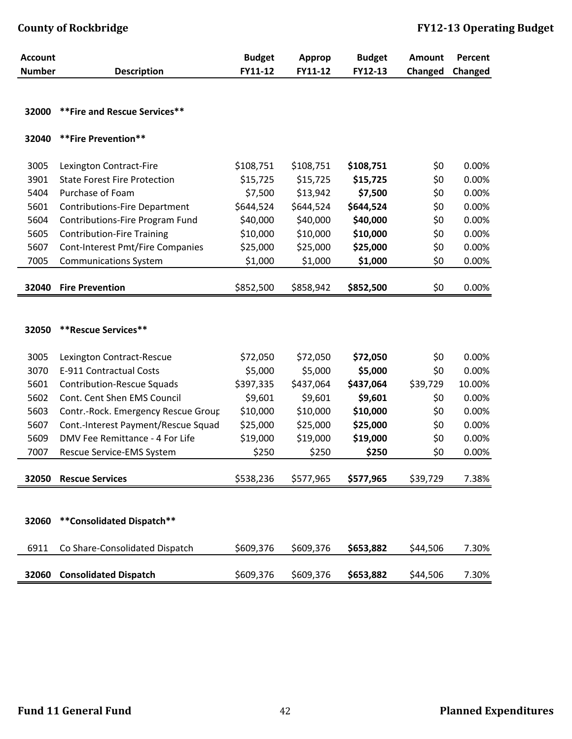| <b>Account</b> |                                      | <b>Budget</b> | <b>Approp</b> | <b>Budget</b> | <b>Amount</b> | Percent |
|----------------|--------------------------------------|---------------|---------------|---------------|---------------|---------|
| <b>Number</b>  | <b>Description</b>                   | FY11-12       | FY11-12       | FY12-13       | Changed       | Changed |
|                |                                      |               |               |               |               |         |
|                |                                      |               |               |               |               |         |
| 32000          | ** Fire and Rescue Services**        |               |               |               |               |         |
| 32040          | **Fire Prevention**                  |               |               |               |               |         |
|                |                                      |               |               |               |               |         |
| 3005           | Lexington Contract-Fire              | \$108,751     | \$108,751     | \$108,751     | \$0           | 0.00%   |
| 3901           | <b>State Forest Fire Protection</b>  | \$15,725      | \$15,725      | \$15,725      | \$0           | 0.00%   |
| 5404           | Purchase of Foam                     | \$7,500       | \$13,942      | \$7,500       | \$0           | 0.00%   |
| 5601           | <b>Contributions-Fire Department</b> | \$644,524     | \$644,524     | \$644,524     | \$0           | 0.00%   |
| 5604           | Contributions-Fire Program Fund      | \$40,000      | \$40,000      | \$40,000      | \$0           | 0.00%   |
| 5605           | <b>Contribution-Fire Training</b>    | \$10,000      | \$10,000      | \$10,000      | \$0           | 0.00%   |
| 5607           | Cont-Interest Pmt/Fire Companies     | \$25,000      | \$25,000      | \$25,000      | \$0           | 0.00%   |
| 7005           | <b>Communications System</b>         | \$1,000       | \$1,000       | \$1,000       | \$0           | 0.00%   |
|                |                                      |               |               |               |               |         |
| 32040          | <b>Fire Prevention</b>               | \$852,500     | \$858,942     | \$852,500     | \$0           | 0.00%   |
|                |                                      |               |               |               |               |         |
|                |                                      |               |               |               |               |         |
| 32050          | <b>**Rescue Services**</b>           |               |               |               |               |         |
|                |                                      |               |               |               |               |         |
| 3005           | Lexington Contract-Rescue            | \$72,050      | \$72,050      | \$72,050      | \$0           | 0.00%   |
| 3070           | E-911 Contractual Costs              | \$5,000       | \$5,000       | \$5,000       | \$0           | 0.00%   |
| 5601           | <b>Contribution-Rescue Squads</b>    | \$397,335     | \$437,064     | \$437,064     | \$39,729      | 10.00%  |
| 5602           | Cont. Cent Shen EMS Council          | \$9,601       | \$9,601       | \$9,601       | \$0           | 0.00%   |
| 5603           | Contr.-Rock. Emergency Rescue Group  | \$10,000      | \$10,000      | \$10,000      | \$0           | 0.00%   |
| 5607           | Cont.-Interest Payment/Rescue Squad  | \$25,000      | \$25,000      | \$25,000      | \$0           | 0.00%   |
| 5609           | DMV Fee Remittance - 4 For Life      | \$19,000      | \$19,000      | \$19,000      | \$0           | 0.00%   |
| 7007           | Rescue Service-EMS System            | \$250         | \$250         | \$250         | \$0           | 0.00%   |
|                |                                      |               |               |               |               |         |
| 32050          | <b>Rescue Services</b>               | \$538,236     | \$577,965     | \$577,965     | \$39,729      | 7.38%   |
|                |                                      |               |               |               |               |         |
|                |                                      |               |               |               |               |         |
| 32060          | **Consolidated Dispatch**            |               |               |               |               |         |
|                |                                      |               |               |               |               |         |
| 6911           | Co Share-Consolidated Dispatch       | \$609,376     | \$609,376     | \$653,882     | \$44,506      | 7.30%   |
|                |                                      |               |               |               |               |         |
| 32060          | <b>Consolidated Dispatch</b>         | \$609,376     | \$609,376     | \$653,882     | \$44,506      | 7.30%   |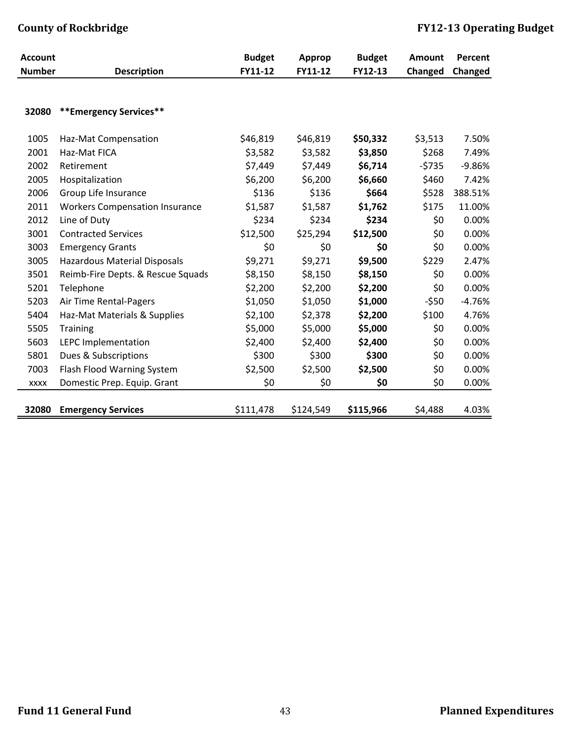| <b>Account</b> |                                       | <b>Budget</b> | <b>Approp</b> | <b>Budget</b> | <b>Amount</b> | Percent  |
|----------------|---------------------------------------|---------------|---------------|---------------|---------------|----------|
| <b>Number</b>  | <b>Description</b>                    | FY11-12       | FY11-12       | FY12-13       | Changed       | Changed  |
|                |                                       |               |               |               |               |          |
| 32080          | **Emergency Services**                |               |               |               |               |          |
| 1005           | Haz-Mat Compensation                  | \$46,819      | \$46,819      | \$50,332      | \$3,513       | 7.50%    |
| 2001           | Haz-Mat FICA                          | \$3,582       | \$3,582       | \$3,850       | \$268         | 7.49%    |
| 2002           | Retirement                            | \$7,449       | \$7,449       | \$6,714       | $-5735$       | $-9.86%$ |
| 2005           | Hospitalization                       | \$6,200       | \$6,200       | \$6,660       | \$460         | 7.42%    |
| 2006           | Group Life Insurance                  | \$136         | \$136         | \$664         | \$528         | 388.51%  |
| 2011           | <b>Workers Compensation Insurance</b> | \$1,587       | \$1,587       | \$1,762       | \$175         | 11.00%   |
| 2012           | Line of Duty                          | \$234         | \$234         | \$234         | \$0           | 0.00%    |
| 3001           | <b>Contracted Services</b>            | \$12,500      | \$25,294      | \$12,500      | \$0           | 0.00%    |
| 3003           | <b>Emergency Grants</b>               | \$0           | \$0           | \$0           | \$0           | 0.00%    |
| 3005           | <b>Hazardous Material Disposals</b>   | \$9,271       | \$9,271       | \$9,500       | \$229         | 2.47%    |
| 3501           | Reimb-Fire Depts. & Rescue Squads     | \$8,150       | \$8,150       | \$8,150       | \$0           | 0.00%    |
| 5201           | Telephone                             | \$2,200       | \$2,200       | \$2,200       | \$0           | 0.00%    |
| 5203           | Air Time Rental-Pagers                | \$1,050       | \$1,050       | \$1,000       | $-550$        | $-4.76%$ |
| 5404           | Haz-Mat Materials & Supplies          | \$2,100       | \$2,378       | \$2,200       | \$100         | 4.76%    |
| 5505           | <b>Training</b>                       | \$5,000       | \$5,000       | \$5,000       | \$0           | 0.00%    |
| 5603           | LEPC Implementation                   | \$2,400       | \$2,400       | \$2,400       | \$0           | 0.00%    |
| 5801           | Dues & Subscriptions                  | \$300         | \$300         | \$300         | \$0           | 0.00%    |
| 7003           | Flash Flood Warning System            | \$2,500       | \$2,500       | \$2,500       | \$0           | 0.00%    |
| <b>XXXX</b>    | Domestic Prep. Equip. Grant           | \$0           | \$0           | \$0           | \$0           | 0.00%    |
| 32080          | <b>Emergency Services</b>             | \$111,478     | \$124,549     | \$115,966     | \$4,488       | 4.03%    |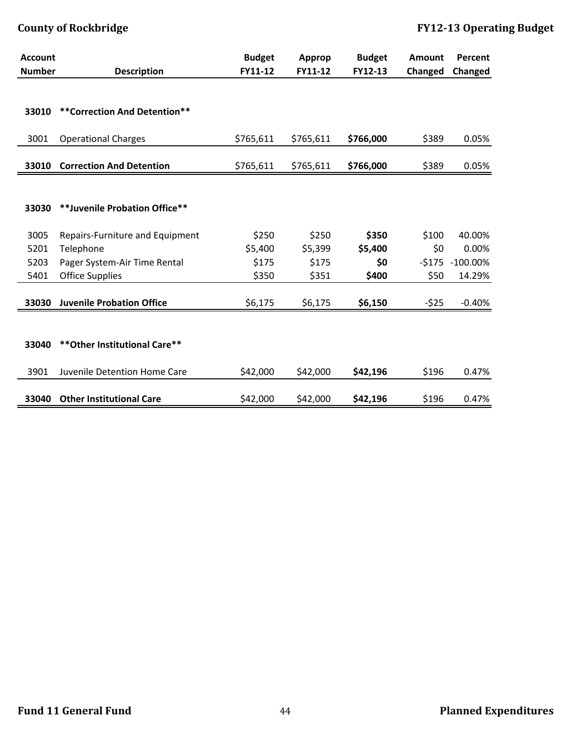| <b>Account</b> |                                  | <b>Budget</b> | <b>Approp</b> | <b>Budget</b> | <b>Amount</b> | Percent            |
|----------------|----------------------------------|---------------|---------------|---------------|---------------|--------------------|
| <b>Number</b>  | <b>Description</b>               | FY11-12       | FY11-12       | FY12-13       | Changed       | Changed            |
|                |                                  |               |               |               |               |                    |
| 33010          | ** Correction And Detention**    |               |               |               |               |                    |
| 3001           | <b>Operational Charges</b>       | \$765,611     | \$765,611     | \$766,000     | \$389         | 0.05%              |
| 33010          | <b>Correction And Detention</b>  | \$765,611     | \$765,611     | \$766,000     | \$389         | 0.05%              |
|                |                                  |               |               |               |               |                    |
| 33030          | **Juvenile Probation Office**    |               |               |               |               |                    |
| 3005           | Repairs-Furniture and Equipment  | \$250         | \$250         | \$350         | \$100         | 40.00%             |
| 5201           | Telephone                        | \$5,400       | \$5,399       | \$5,400       | \$0           | 0.00%              |
| 5203           | Pager System-Air Time Rental     | \$175         | \$175         | \$0           |               | $-5175 - 100.00\%$ |
| 5401           | <b>Office Supplies</b>           | \$350         | \$351         | \$400         | \$50          | 14.29%             |
| 33030          | <b>Juvenile Probation Office</b> | \$6,175       | \$6,175       | \$6,150       | $-525$        | $-0.40%$           |
|                |                                  |               |               |               |               |                    |
| 33040          | ** Other Institutional Care**    |               |               |               |               |                    |
| 3901           | Juvenile Detention Home Care     | \$42,000      | \$42,000      | \$42,196      | \$196         | 0.47%              |
| 33040          | <b>Other Institutional Care</b>  | \$42,000      | \$42,000      | \$42,196      | \$196         | 0.47%              |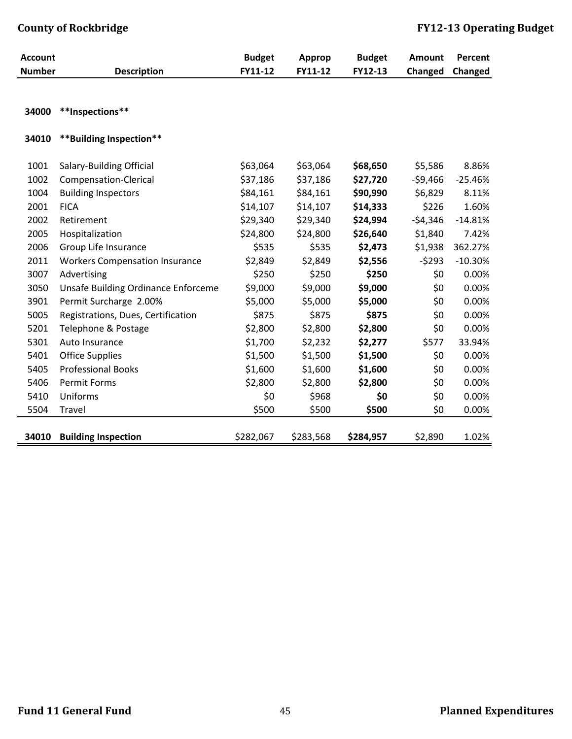| <b>Account</b> |                                       | <b>Budget</b> | <b>Approp</b> | <b>Budget</b> | <b>Amount</b> | Percent   |
|----------------|---------------------------------------|---------------|---------------|---------------|---------------|-----------|
| <b>Number</b>  | <b>Description</b>                    | FY11-12       | FY11-12       | FY12-13       | Changed       | Changed   |
|                |                                       |               |               |               |               |           |
| 34000          | **Inspections**                       |               |               |               |               |           |
| 34010          | **Building Inspection**               |               |               |               |               |           |
| 1001           | <b>Salary-Building Official</b>       | \$63,064      | \$63,064      | \$68,650      | \$5,586       | 8.86%     |
| 1002           | Compensation-Clerical                 | \$37,186      | \$37,186      | \$27,720      | $-59,466$     | $-25.46%$ |
| 1004           | <b>Building Inspectors</b>            | \$84,161      | \$84,161      | \$90,990      | \$6,829       | 8.11%     |
| 2001           | <b>FICA</b>                           | \$14,107      | \$14,107      | \$14,333      | \$226         | 1.60%     |
| 2002           | Retirement                            | \$29,340      | \$29,340      | \$24,994      | $-54,346$     | $-14.81%$ |
| 2005           | Hospitalization                       | \$24,800      | \$24,800      | \$26,640      | \$1,840       | 7.42%     |
| 2006           | Group Life Insurance                  | \$535         | \$535         | \$2,473       | \$1,938       | 362.27%   |
| 2011           | <b>Workers Compensation Insurance</b> | \$2,849       | \$2,849       | \$2,556       | $-5293$       | $-10.30%$ |
| 3007           | Advertising                           | \$250         | \$250         | \$250         | \$0           | 0.00%     |
| 3050           | Unsafe Building Ordinance Enforceme   | \$9,000       | \$9,000       | \$9,000       | \$0           | 0.00%     |
| 3901           | Permit Surcharge 2.00%                | \$5,000       | \$5,000       | \$5,000       | \$0           | 0.00%     |
| 5005           | Registrations, Dues, Certification    | \$875         | \$875         | \$875         | \$0           | 0.00%     |
| 5201           | Telephone & Postage                   | \$2,800       | \$2,800       | \$2,800       | \$0           | 0.00%     |
| 5301           | Auto Insurance                        | \$1,700       | \$2,232       | \$2,277       | \$577         | 33.94%    |
| 5401           | <b>Office Supplies</b>                | \$1,500       | \$1,500       | \$1,500       | \$0           | 0.00%     |
| 5405           | <b>Professional Books</b>             | \$1,600       | \$1,600       | \$1,600       | \$0           | 0.00%     |
| 5406           | <b>Permit Forms</b>                   | \$2,800       | \$2,800       | \$2,800       | \$0           | 0.00%     |
| 5410           | Uniforms                              | \$0           | \$968         | \$0           | \$0           | 0.00%     |
| 5504           | Travel                                | \$500         | \$500         | \$500         | \$0           | 0.00%     |
| 34010          | <b>Building Inspection</b>            | \$282,067     | \$283,568     | \$284,957     | \$2,890       | 1.02%     |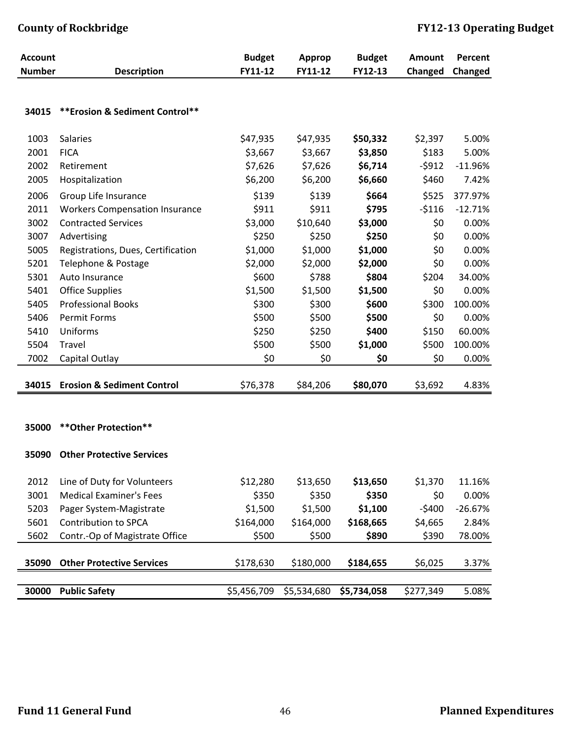| <b>Account</b> |                                       | <b>Budget</b> | <b>Approp</b> | <b>Budget</b> | <b>Amount</b>  | Percent   |
|----------------|---------------------------------------|---------------|---------------|---------------|----------------|-----------|
| <b>Number</b>  | <b>Description</b>                    | FY11-12       | FY11-12       | FY12-13       | <b>Changed</b> | Changed   |
|                |                                       |               |               |               |                |           |
|                |                                       |               |               |               |                |           |
| 34015          | ** Erosion & Sediment Control**       |               |               |               |                |           |
| 1003           | <b>Salaries</b>                       | \$47,935      | \$47,935      | \$50,332      | \$2,397        | 5.00%     |
| 2001           | <b>FICA</b>                           | \$3,667       | \$3,667       | \$3,850       | \$183          | 5.00%     |
| 2002           | Retirement                            | \$7,626       | \$7,626       | \$6,714       | $-5912$        | $-11.96%$ |
| 2005           | Hospitalization                       | \$6,200       | \$6,200       | \$6,660       | \$460          | 7.42%     |
| 2006           | Group Life Insurance                  | \$139         | \$139         | \$664         | \$525          | 377.97%   |
| 2011           | <b>Workers Compensation Insurance</b> | \$911         | \$911         | \$795         | $-5116$        | $-12.71%$ |
| 3002           | <b>Contracted Services</b>            | \$3,000       | \$10,640      | \$3,000       | \$0            | 0.00%     |
| 3007           | Advertising                           | \$250         | \$250         | \$250         | \$0            | 0.00%     |
| 5005           | Registrations, Dues, Certification    | \$1,000       | \$1,000       | \$1,000       | \$0            | 0.00%     |
| 5201           | Telephone & Postage                   | \$2,000       | \$2,000       | \$2,000       | \$0            | 0.00%     |
| 5301           | Auto Insurance                        | \$600         | \$788         | \$804         | \$204          | 34.00%    |
| 5401           | <b>Office Supplies</b>                | \$1,500       | \$1,500       | \$1,500       | \$0            | 0.00%     |
| 5405           | <b>Professional Books</b>             | \$300         | \$300         | \$600         | \$300          | 100.00%   |
| 5406           | <b>Permit Forms</b>                   | \$500         | \$500         | \$500         | \$0            | 0.00%     |
| 5410           | Uniforms                              | \$250         | \$250         | \$400         | \$150          | 60.00%    |
| 5504           | Travel                                | \$500         | \$500         | \$1,000       | \$500          | 100.00%   |
| 7002           | Capital Outlay                        | \$0           | \$0           | \$0           | \$0            | 0.00%     |
|                |                                       |               |               |               |                |           |
| 34015          | <b>Erosion &amp; Sediment Control</b> | \$76,378      | \$84,206      | \$80,070      | \$3,692        | 4.83%     |
|                |                                       |               |               |               |                |           |
|                |                                       |               |               |               |                |           |
| 35000          | ** Other Protection**                 |               |               |               |                |           |
| 35090          | <b>Other Protective Services</b>      |               |               |               |                |           |
|                |                                       |               |               |               |                |           |
| 2012           | Line of Duty for Volunteers           | \$12,280      | \$13,650      | \$13,650      | \$1,370        | 11.16%    |
| 3001           | <b>Medical Examiner's Fees</b>        | \$350         | \$350         | \$350         | \$0            | 0.00%     |
| 5203           | Pager System-Magistrate               | \$1,500       | \$1,500       | \$1,100       | $-5400$        | $-26.67%$ |
| 5601           | <b>Contribution to SPCA</b>           | \$164,000     | \$164,000     | \$168,665     | \$4,665        | 2.84%     |
| 5602           | Contr.-Op of Magistrate Office        | \$500         | \$500         | \$890         | \$390          | 78.00%    |
|                |                                       |               |               |               |                |           |
| 35090          | <b>Other Protective Services</b>      | \$178,630     | \$180,000     | \$184,655     | \$6,025        | 3.37%     |
|                |                                       |               |               |               |                |           |
| 30000          | <b>Public Safety</b>                  | \$5,456,709   | \$5,534,680   | \$5,734,058   | \$277,349      | 5.08%     |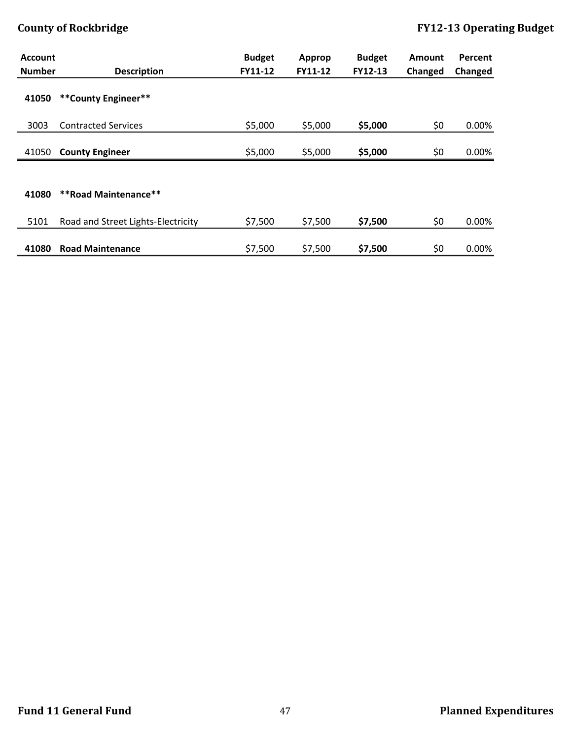| <b>Account</b><br><b>Number</b> | <b>Description</b>                 | <b>Budget</b><br>FY11-12 | Approp<br>FY11-12 | <b>Budget</b><br>FY12-13 | <b>Amount</b><br>Changed | <b>Percent</b><br>Changed |
|---------------------------------|------------------------------------|--------------------------|-------------------|--------------------------|--------------------------|---------------------------|
| 41050                           | **County Engineer**                |                          |                   |                          |                          |                           |
| 3003                            | <b>Contracted Services</b>         | \$5,000                  | \$5,000           | \$5,000                  | \$0                      | 0.00%                     |
| 41050                           | <b>County Engineer</b>             | \$5,000                  | \$5,000           | \$5,000                  | \$0                      | 0.00%                     |
| 41080                           | <b>**Road Maintenance**</b>        |                          |                   |                          |                          |                           |
| 5101                            | Road and Street Lights-Electricity | \$7,500                  | \$7,500           | \$7,500                  | \$0                      | 0.00%                     |
| 41080                           | <b>Road Maintenance</b>            | \$7,500                  | \$7,500           | \$7,500                  | \$0                      | 0.00%                     |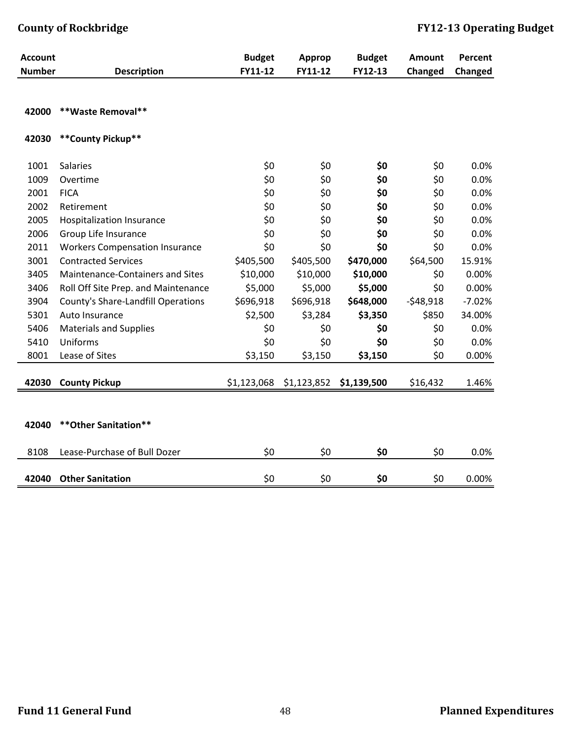| <b>Account</b> |                                       | <b>Budget</b> | Approp      | <b>Budget</b> | <b>Amount</b> | Percent  |
|----------------|---------------------------------------|---------------|-------------|---------------|---------------|----------|
| <b>Number</b>  | <b>Description</b>                    | FY11-12       | FY11-12     | FY12-13       | Changed       | Changed  |
| 42000          | **Waste Removal**                     |               |             |               |               |          |
|                |                                       |               |             |               |               |          |
| 42030          | ** County Pickup**                    |               |             |               |               |          |
| 1001           | <b>Salaries</b>                       | \$0           | \$0         | \$0           | \$0           | 0.0%     |
| 1009           | Overtime                              | \$0           | \$0         | \$0           | \$0           | 0.0%     |
| 2001           | <b>FICA</b>                           | \$0           | \$0         | \$0           | \$0           | 0.0%     |
| 2002           | Retirement                            | \$0           | \$0         | \$0           | \$0           | 0.0%     |
| 2005           | <b>Hospitalization Insurance</b>      | \$0           | \$0         | \$0           | \$0           | 0.0%     |
| 2006           | Group Life Insurance                  | \$0           | \$0         | \$0           | \$0           | 0.0%     |
| 2011           | <b>Workers Compensation Insurance</b> | \$0           | \$0         | \$0           | \$0           | 0.0%     |
| 3001           | <b>Contracted Services</b>            | \$405,500     | \$405,500   | \$470,000     | \$64,500      | 15.91%   |
| 3405           | Maintenance-Containers and Sites      | \$10,000      | \$10,000    | \$10,000      | \$0           | 0.00%    |
| 3406           | Roll Off Site Prep. and Maintenance   | \$5,000       | \$5,000     | \$5,000       | \$0           | 0.00%    |
| 3904           | County's Share-Landfill Operations    | \$696,918     | \$696,918   | \$648,000     | $-548,918$    | $-7.02%$ |
| 5301           | Auto Insurance                        | \$2,500       | \$3,284     | \$3,350       | \$850         | 34.00%   |
| 5406           | <b>Materials and Supplies</b>         | \$0           | \$0         | \$0           | \$0           | 0.0%     |
| 5410           | Uniforms                              | \$0           | \$0         | \$0           | \$0           | 0.0%     |
| 8001           | Lease of Sites                        | \$3,150       | \$3,150     | \$3,150       | \$0           | 0.00%    |
| 42030          | <b>County Pickup</b>                  | \$1,123,068   | \$1,123,852 | \$1,139,500   | \$16,432      | 1.46%    |
|                |                                       |               |             |               |               |          |
| 42040          | ** Other Sanitation**                 |               |             |               |               |          |
| 8108           | Lease-Purchase of Bull Dozer          | \$0           | \$0         | \$0           | \$0           | 0.0%     |
| 42040          | <b>Other Sanitation</b>               | \$0           | \$0         | \$0           | \$0           | 0.00%    |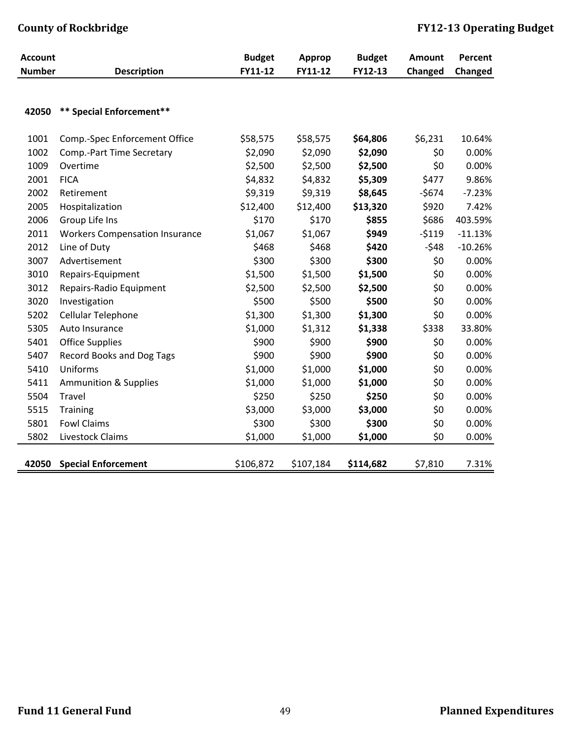| <b>Account</b> |                                       | <b>Budget</b> | <b>Approp</b> | <b>Budget</b> | <b>Amount</b> | Percent   |
|----------------|---------------------------------------|---------------|---------------|---------------|---------------|-----------|
| <b>Number</b>  | <b>Description</b>                    | FY11-12       | FY11-12       | FY12-13       | Changed       | Changed   |
|                |                                       |               |               |               |               |           |
| 42050          | ** Special Enforcement**              |               |               |               |               |           |
| 1001           | Comp.-Spec Enforcement Office         | \$58,575      | \$58,575      | \$64,806      | \$6,231       | 10.64%    |
| 1002           | Comp.-Part Time Secretary             | \$2,090       | \$2,090       | \$2,090       | \$0           | 0.00%     |
| 1009           | Overtime                              | \$2,500       | \$2,500       | \$2,500       | \$0           | 0.00%     |
| 2001           | <b>FICA</b>                           | \$4,832       | \$4,832       | \$5,309       | \$477         | 9.86%     |
| 2002           | Retirement                            | \$9,319       | \$9,319       | \$8,645       | $-5674$       | $-7.23%$  |
| 2005           | Hospitalization                       | \$12,400      | \$12,400      | \$13,320      | \$920         | 7.42%     |
| 2006           | Group Life Ins                        | \$170         | \$170         | \$855         | \$686         | 403.59%   |
| 2011           | <b>Workers Compensation Insurance</b> | \$1,067       | \$1,067       | \$949         | $-5119$       | $-11.13%$ |
| 2012           | Line of Duty                          | \$468         | \$468         | \$420         | $-548$        | $-10.26%$ |
| 3007           | Advertisement                         | \$300         | \$300         | \$300         | \$0           | 0.00%     |
| 3010           | Repairs-Equipment                     | \$1,500       | \$1,500       | \$1,500       | \$0           | 0.00%     |
| 3012           | Repairs-Radio Equipment               | \$2,500       | \$2,500       | \$2,500       | \$0           | 0.00%     |
| 3020           | Investigation                         | \$500         | \$500         | \$500         | \$0           | 0.00%     |
| 5202           | Cellular Telephone                    | \$1,300       | \$1,300       | \$1,300       | \$0           | 0.00%     |
| 5305           | Auto Insurance                        | \$1,000       | \$1,312       | \$1,338       | \$338         | 33.80%    |
| 5401           | <b>Office Supplies</b>                | \$900         | \$900         | \$900         | \$0           | 0.00%     |
| 5407           | <b>Record Books and Dog Tags</b>      | \$900         | \$900         | \$900         | \$0           | 0.00%     |
| 5410           | Uniforms                              | \$1,000       | \$1,000       | \$1,000       | \$0           | 0.00%     |
| 5411           | <b>Ammunition &amp; Supplies</b>      | \$1,000       | \$1,000       | \$1,000       | \$0           | 0.00%     |
| 5504           | Travel                                | \$250         | \$250         | \$250         | \$0           | 0.00%     |
| 5515           | <b>Training</b>                       | \$3,000       | \$3,000       | \$3,000       | \$0           | 0.00%     |
| 5801           | <b>Fowl Claims</b>                    | \$300         | \$300         | \$300         | \$0           | 0.00%     |
| 5802           | Livestock Claims                      | \$1,000       | \$1,000       | \$1,000       | \$0           | 0.00%     |
| 42050          | <b>Special Enforcement</b>            | \$106,872     | \$107,184     | \$114,682     | \$7,810       | 7.31%     |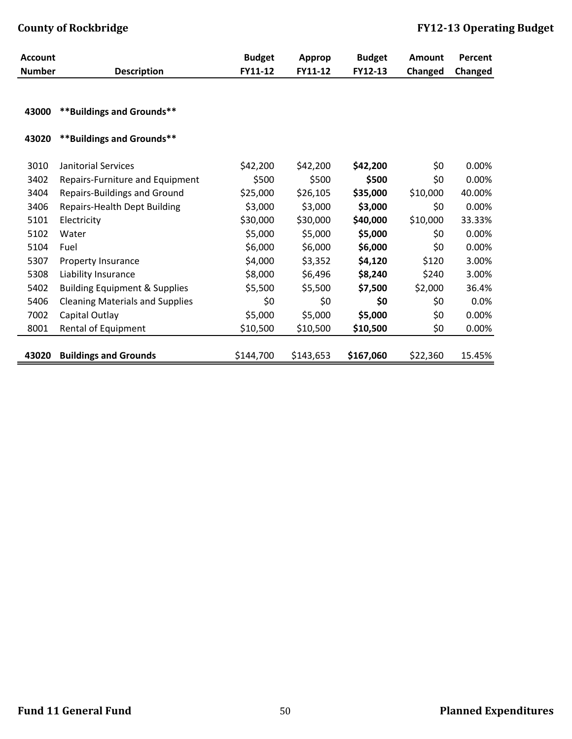| <b>Account</b> |                                          | <b>Budget</b> | <b>Approp</b> | <b>Budget</b> | <b>Amount</b> | Percent |
|----------------|------------------------------------------|---------------|---------------|---------------|---------------|---------|
| <b>Number</b>  | <b>Description</b>                       | FY11-12       | FY11-12       | FY12-13       | Changed       | Changed |
| 43000          | **Buildings and Grounds**                |               |               |               |               |         |
| 43020          | **Buildings and Grounds**                |               |               |               |               |         |
| 3010           | Janitorial Services                      | \$42,200      | \$42,200      | \$42,200      | \$0           | 0.00%   |
| 3402           | Repairs-Furniture and Equipment          | \$500         | \$500         | \$500         | \$0           | 0.00%   |
| 3404           | <b>Repairs-Buildings and Ground</b>      | \$25,000      | \$26,105      | \$35,000      | \$10,000      | 40.00%  |
| 3406           | <b>Repairs-Health Dept Building</b>      | \$3,000       | \$3,000       | \$3,000       | \$0           | 0.00%   |
| 5101           | Electricity                              | \$30,000      | \$30,000      | \$40,000      | \$10,000      | 33.33%  |
| 5102           | Water                                    | \$5,000       | \$5,000       | \$5,000       | \$0           | 0.00%   |
| 5104           | Fuel                                     | \$6,000       | \$6,000       | \$6,000       | \$0           | 0.00%   |
| 5307           | Property Insurance                       | \$4,000       | \$3,352       | \$4,120       | \$120         | 3.00%   |
| 5308           | Liability Insurance                      | \$8,000       | \$6,496       | \$8,240       | \$240         | 3.00%   |
| 5402           | <b>Building Equipment &amp; Supplies</b> | \$5,500       | \$5,500       | \$7,500       | \$2,000       | 36.4%   |
| 5406           | <b>Cleaning Materials and Supplies</b>   | \$0           | \$0           | \$0           | \$0           | 0.0%    |
| 7002           | Capital Outlay                           | \$5,000       | \$5,000       | \$5,000       | \$0           | 0.00%   |
| 8001           | Rental of Equipment                      | \$10,500      | \$10,500      | \$10,500      | \$0           | 0.00%   |
|                |                                          |               |               |               |               |         |
| 43020          | <b>Buildings and Grounds</b>             | \$144,700     | \$143,653     | \$167,060     | \$22,360      | 15.45%  |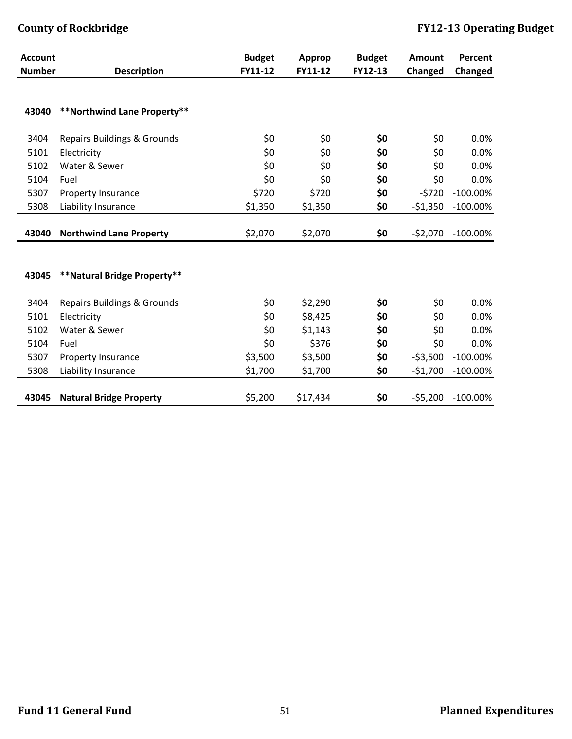| <b>Account</b> |                                        | <b>Budget</b> | Approp   | <b>Budget</b> | <b>Amount</b> | Percent     |
|----------------|----------------------------------------|---------------|----------|---------------|---------------|-------------|
| <b>Number</b>  | <b>Description</b>                     | FY11-12       | FY11-12  | FY12-13       | Changed       | Changed     |
|                |                                        |               |          |               |               |             |
|                |                                        |               |          |               |               |             |
| 43040          | **Northwind Lane Property**            |               |          |               |               |             |
| 3404           | <b>Repairs Buildings &amp; Grounds</b> | \$0           | \$0      | \$0           | \$0           | 0.0%        |
| 5101           | Electricity                            | \$0           | \$0      | \$0           | \$0           | 0.0%        |
| 5102           | Water & Sewer                          | \$0           | \$0      | \$0           | \$0           | 0.0%        |
| 5104           | Fuel                                   | \$0           | \$0      | \$0           | \$0           | 0.0%        |
| 5307           | <b>Property Insurance</b>              | \$720         | \$720    | \$0           | $-5720$       | $-100.00\%$ |
| 5308           | Liability Insurance                    | \$1,350       | \$1,350  | \$0           | $-51,350$     | $-100.00\%$ |
|                |                                        |               |          |               |               |             |
| 43040          | <b>Northwind Lane Property</b>         | \$2,070       | \$2,070  | \$0           | $-$ \$2,070   | $-100.00\%$ |
|                |                                        |               |          |               |               |             |
|                |                                        |               |          |               |               |             |
| 43045          | **Natural Bridge Property**            |               |          |               |               |             |
| 3404           | <b>Repairs Buildings &amp; Grounds</b> | \$0           | \$2,290  | \$0           | \$0           | 0.0%        |
| 5101           | Electricity                            | \$0           | \$8,425  | \$0           | \$0           | 0.0%        |
| 5102           | Water & Sewer                          | \$0           | \$1,143  | \$0           | \$0           | 0.0%        |
| 5104           | Fuel                                   | \$0           | \$376    | \$0           | \$0           | 0.0%        |
| 5307           | <b>Property Insurance</b>              | \$3,500       | \$3,500  | \$0           | $-53,500$     | $-100.00\%$ |
| 5308           | Liability Insurance                    | \$1,700       | \$1,700  | \$0           | $-51,700$     | $-100.00\%$ |
|                |                                        |               |          |               |               |             |
| 43045          | <b>Natural Bridge Property</b>         | \$5,200       | \$17,434 | \$0           | $-55,200$     | $-100.00\%$ |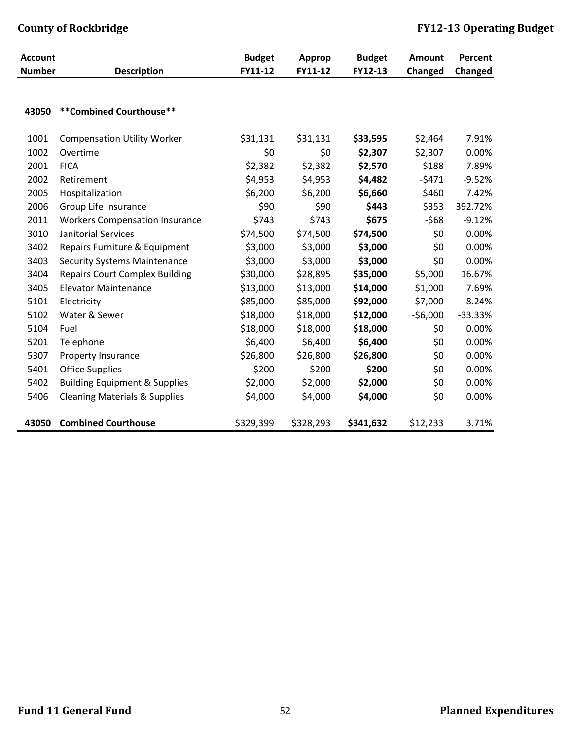| <b>Account</b> |                                          | <b>Budget</b> | Approp    | <b>Budget</b> | <b>Amount</b> | Percent   |
|----------------|------------------------------------------|---------------|-----------|---------------|---------------|-----------|
| <b>Number</b>  | <b>Description</b>                       | FY11-12       | FY11-12   | FY12-13       | Changed       | Changed   |
|                |                                          |               |           |               |               |           |
| 43050          | **Combined Courthouse**                  |               |           |               |               |           |
| 1001           | <b>Compensation Utility Worker</b>       | \$31,131      | \$31,131  | \$33,595      | \$2,464       | 7.91%     |
| 1002           | Overtime                                 | \$0           | \$0       | \$2,307       | \$2,307       | 0.00%     |
| 2001           | <b>FICA</b>                              | \$2,382       | \$2,382   | \$2,570       | \$188         | 7.89%     |
| 2002           | Retirement                               | \$4,953       | \$4,953   | \$4,482       | $-5471$       | $-9.52%$  |
| 2005           | Hospitalization                          | \$6,200       | \$6,200   | \$6,660       | \$460         | 7.42%     |
| 2006           | Group Life Insurance                     | \$90          | \$90      | \$443         | \$353         | 392.72%   |
| 2011           | <b>Workers Compensation Insurance</b>    | \$743         | \$743     | \$675         | $-568$        | $-9.12%$  |
| 3010           | <b>Janitorial Services</b>               | \$74,500      | \$74,500  | \$74,500      | \$0           | 0.00%     |
| 3402           | Repairs Furniture & Equipment            | \$3,000       | \$3,000   | \$3,000       | \$0           | 0.00%     |
| 3403           | <b>Security Systems Maintenance</b>      | \$3,000       | \$3,000   | \$3,000       | \$0           | 0.00%     |
| 3404           | <b>Repairs Court Complex Building</b>    | \$30,000      | \$28,895  | \$35,000      | \$5,000       | 16.67%    |
| 3405           | <b>Elevator Maintenance</b>              | \$13,000      | \$13,000  | \$14,000      | \$1,000       | 7.69%     |
| 5101           | Electricity                              | \$85,000      | \$85,000  | \$92,000      | \$7,000       | 8.24%     |
| 5102           | Water & Sewer                            | \$18,000      | \$18,000  | \$12,000      | $-56,000$     | $-33.33%$ |
| 5104           | Fuel                                     | \$18,000      | \$18,000  | \$18,000      | \$0           | 0.00%     |
| 5201           | Telephone                                | \$6,400       | \$6,400   | \$6,400       | \$0           | 0.00%     |
| 5307           | Property Insurance                       | \$26,800      | \$26,800  | \$26,800      | \$0           | 0.00%     |
| 5401           | <b>Office Supplies</b>                   | \$200         | \$200     | \$200         | \$0           | 0.00%     |
| 5402           | <b>Building Equipment &amp; Supplies</b> | \$2,000       | \$2,000   | \$2,000       | \$0           | 0.00%     |
| 5406           | <b>Cleaning Materials &amp; Supplies</b> | \$4,000       | \$4,000   | \$4,000       | \$0           | 0.00%     |
| 43050          | <b>Combined Courthouse</b>               | \$329,399     | \$328,293 | \$341,632     | \$12,233      | 3.71%     |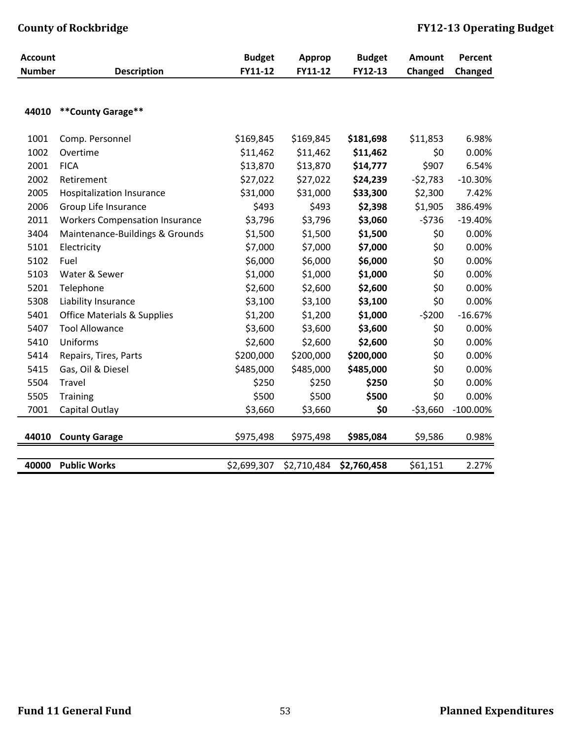| <b>Account</b> |                                        | <b>Budget</b> | <b>Approp</b> | <b>Budget</b> | <b>Amount</b> | Percent     |
|----------------|----------------------------------------|---------------|---------------|---------------|---------------|-------------|
| <b>Number</b>  | <b>Description</b>                     | FY11-12       | FY11-12       | FY12-13       | Changed       | Changed     |
|                |                                        |               |               |               |               |             |
| 44010          | **County Garage**                      |               |               |               |               |             |
|                |                                        |               |               |               |               |             |
| 1001           | Comp. Personnel                        | \$169,845     | \$169,845     | \$181,698     | \$11,853      | 6.98%       |
| 1002           | Overtime                               | \$11,462      | \$11,462      | \$11,462      | \$0           | 0.00%       |
| 2001           | <b>FICA</b>                            | \$13,870      | \$13,870      | \$14,777      | \$907         | 6.54%       |
| 2002           | Retirement                             | \$27,022      | \$27,022      | \$24,239      | $-52,783$     | $-10.30%$   |
| 2005           | <b>Hospitalization Insurance</b>       | \$31,000      | \$31,000      | \$33,300      | \$2,300       | 7.42%       |
| 2006           | Group Life Insurance                   | \$493         | \$493         | \$2,398       | \$1,905       | 386.49%     |
| 2011           | <b>Workers Compensation Insurance</b>  | \$3,796       | \$3,796       | \$3,060       | $-5736$       | $-19.40%$   |
| 3404           | Maintenance-Buildings & Grounds        | \$1,500       | \$1,500       | \$1,500       | \$0           | 0.00%       |
| 5101           | Electricity                            | \$7,000       | \$7,000       | \$7,000       | \$0           | 0.00%       |
| 5102           | Fuel                                   | \$6,000       | \$6,000       | \$6,000       | \$0           | 0.00%       |
| 5103           | Water & Sewer                          | \$1,000       | \$1,000       | \$1,000       | \$0           | 0.00%       |
| 5201           | Telephone                              | \$2,600       | \$2,600       | \$2,600       | \$0           | 0.00%       |
| 5308           | Liability Insurance                    | \$3,100       | \$3,100       | \$3,100       | \$0           | 0.00%       |
| 5401           | <b>Office Materials &amp; Supplies</b> | \$1,200       | \$1,200       | \$1,000       | $-5200$       | $-16.67%$   |
| 5407           | <b>Tool Allowance</b>                  | \$3,600       | \$3,600       | \$3,600       | \$0           | 0.00%       |
| 5410           | Uniforms                               | \$2,600       | \$2,600       | \$2,600       | \$0           | 0.00%       |
| 5414           | Repairs, Tires, Parts                  | \$200,000     | \$200,000     | \$200,000     | \$0           | 0.00%       |
| 5415           | Gas, Oil & Diesel                      | \$485,000     | \$485,000     | \$485,000     | \$0           | 0.00%       |
| 5504           | Travel                                 | \$250         | \$250         | \$250         | \$0           | 0.00%       |
| 5505           | <b>Training</b>                        | \$500         | \$500         | \$500         | \$0           | 0.00%       |
| 7001           | Capital Outlay                         | \$3,660       | \$3,660       | \$0           | $-53,660$     | $-100.00\%$ |
|                |                                        |               |               |               |               |             |
| 44010          | <b>County Garage</b>                   | \$975,498     | \$975,498     | \$985,084     | \$9,586       | 0.98%       |
|                |                                        |               |               |               |               |             |
| 40000          | <b>Public Works</b>                    | \$2,699,307   | \$2,710,484   | \$2,760,458   | \$61,151      | 2.27%       |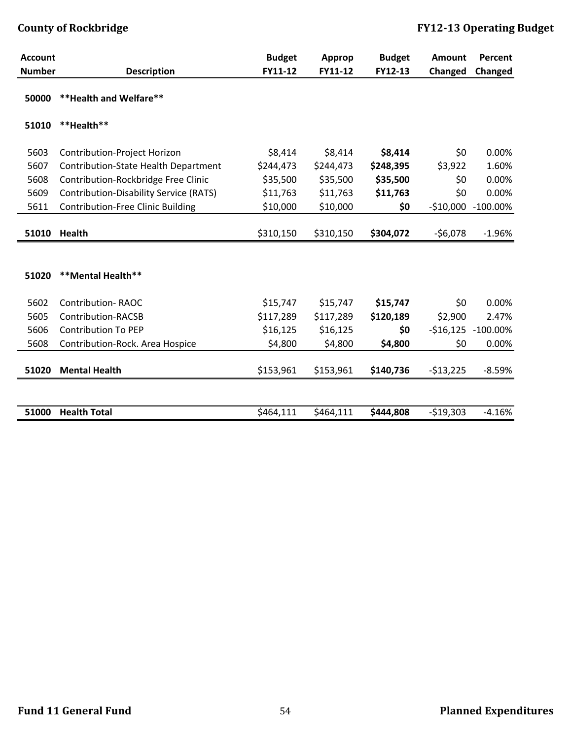| <b>Account</b> |                                               | <b>Budget</b> | Approp    | <b>Budget</b> | Amount     | Percent              |
|----------------|-----------------------------------------------|---------------|-----------|---------------|------------|----------------------|
| <b>Number</b>  | <b>Description</b>                            | FY11-12       | FY11-12   | FY12-13       | Changed    | Changed              |
| 50000          | ** Health and Welfare**                       |               |           |               |            |                      |
| 51010          | **Health**                                    |               |           |               |            |                      |
| 5603           | Contribution-Project Horizon                  | \$8,414       | \$8,414   | \$8,414       | \$0        | 0.00%                |
| 5607           | Contribution-State Health Department          | \$244,473     | \$244,473 | \$248,395     | \$3,922    | 1.60%                |
| 5608           | Contribution-Rockbridge Free Clinic           | \$35,500      | \$35,500  | \$35,500      | \$0        | 0.00%                |
| 5609           | <b>Contribution-Disability Service (RATS)</b> | \$11,763      | \$11,763  | \$11,763      | \$0        | 0.00%                |
| 5611           | <b>Contribution-Free Clinic Building</b>      | \$10,000      | \$10,000  | \$0           | $-$10,000$ | $-100.00\%$          |
| 51010          | <b>Health</b>                                 | \$310,150     | \$310,150 | \$304,072     | $-56,078$  | $-1.96%$             |
|                |                                               |               |           |               |            |                      |
|                |                                               |               |           |               |            |                      |
| 51020          | <b>**Mental Health**</b>                      |               |           |               |            |                      |
|                |                                               |               |           |               |            |                      |
| 5602           | <b>Contribution-RAOC</b>                      | \$15,747      | \$15,747  | \$15,747      | \$0        | 0.00%                |
| 5605           | Contribution-RACSB                            | \$117,289     | \$117,289 | \$120,189     | \$2,900    | 2.47%                |
| 5606           | <b>Contribution To PEP</b>                    | \$16,125      | \$16,125  | \$0           |            | $-516,125 -100.00\%$ |
| 5608           | Contribution-Rock. Area Hospice               | \$4,800       | \$4,800   | \$4,800       | \$0        | 0.00%                |
|                |                                               |               |           |               |            |                      |
| 51020          | <b>Mental Health</b>                          | \$153,961     | \$153,961 | \$140,736     | $-513,225$ | $-8.59%$             |
|                |                                               |               |           |               |            |                      |
|                |                                               |               |           |               |            |                      |
| 51000          | <b>Health Total</b>                           | \$464,111     | \$464,111 | \$444,808     | $-519,303$ | $-4.16%$             |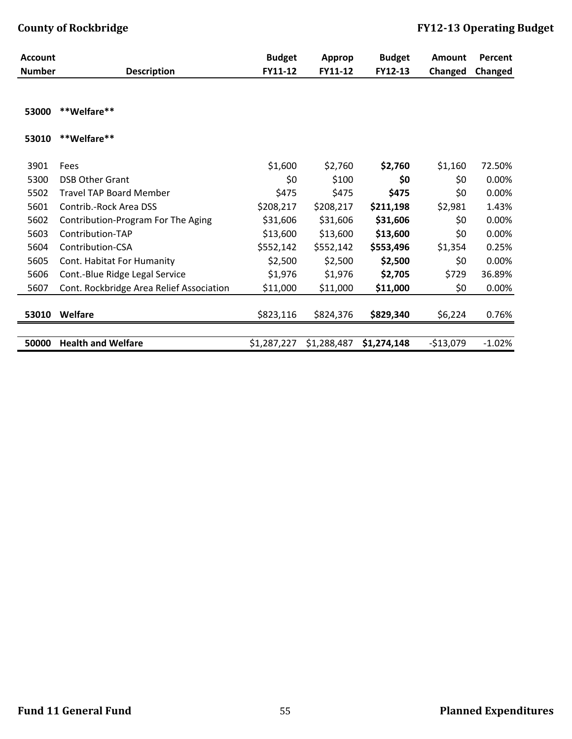| <b>Account</b> |                                          | <b>Budget</b> | <b>Approp</b> | <b>Budget</b> | <b>Amount</b> | Percent  |
|----------------|------------------------------------------|---------------|---------------|---------------|---------------|----------|
| <b>Number</b>  | <b>Description</b>                       | FY11-12       | FY11-12       | FY12-13       | Changed       | Changed  |
| 53000          | **Welfare**                              |               |               |               |               |          |
| 53010          | **Welfare**                              |               |               |               |               |          |
| 3901           | Fees                                     | \$1,600       | \$2,760       | \$2,760       | \$1,160       | 72.50%   |
| 5300           | <b>DSB Other Grant</b>                   | \$0           | \$100         | \$0           | \$0           | 0.00%    |
| 5502           | <b>Travel TAP Board Member</b>           | \$475         | \$475         | \$475         | \$0           | 0.00%    |
| 5601           | Contrib.-Rock Area DSS                   | \$208,217     | \$208,217     | \$211,198     | \$2,981       | 1.43%    |
| 5602           | Contribution-Program For The Aging       | \$31,606      | \$31,606      | \$31,606      | \$0           | 0.00%    |
| 5603           | Contribution-TAP                         | \$13,600      | \$13,600      | \$13,600      | \$0           | 0.00%    |
| 5604           | Contribution-CSA                         | \$552,142     | \$552,142     | \$553,496     | \$1,354       | 0.25%    |
| 5605           | Cont. Habitat For Humanity               | \$2,500       | \$2,500       | \$2,500       | \$0           | 0.00%    |
| 5606           | Cont.-Blue Ridge Legal Service           | \$1,976       | \$1,976       | \$2,705       | \$729         | 36.89%   |
| 5607           | Cont. Rockbridge Area Relief Association | \$11,000      | \$11,000      | \$11,000      | \$0           | 0.00%    |
| 53010          | Welfare                                  | \$823,116     | \$824,376     | \$829,340     | \$6,224       | 0.76%    |
| 50000          | <b>Health and Welfare</b>                | \$1,287,227   | \$1,288,487   | \$1,274,148   | $-$13,079$    | $-1.02%$ |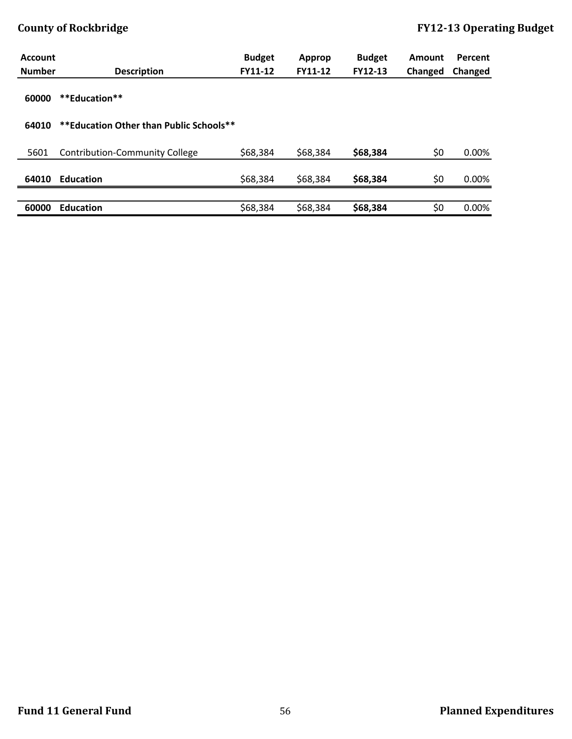| <b>Account</b> |                                         | <b>Budget</b> | Approp         | <b>Budget</b>  | Amount  | Percent |
|----------------|-----------------------------------------|---------------|----------------|----------------|---------|---------|
| <b>Number</b>  | <b>Description</b>                      | FY11-12       | <b>FY11-12</b> | <b>FY12-13</b> | Changed | Changed |
| 60000          | **Education**                           |               |                |                |         |         |
| 64010          | **Education Other than Public Schools** |               |                |                |         |         |
|                |                                         |               |                |                |         |         |
| 5601           | Contribution-Community College          | \$68,384      | \$68,384       | \$68,384       | \$0     | 0.00%   |
|                |                                         |               |                |                |         |         |
| 64010          | <b>Education</b>                        | \$68,384      | \$68,384       | \$68,384       | \$0     | 0.00%   |
|                |                                         |               |                |                |         |         |
| 60000          | <b>Education</b>                        | \$68,384      | \$68,384       | \$68,384       | \$0     | 0.00%   |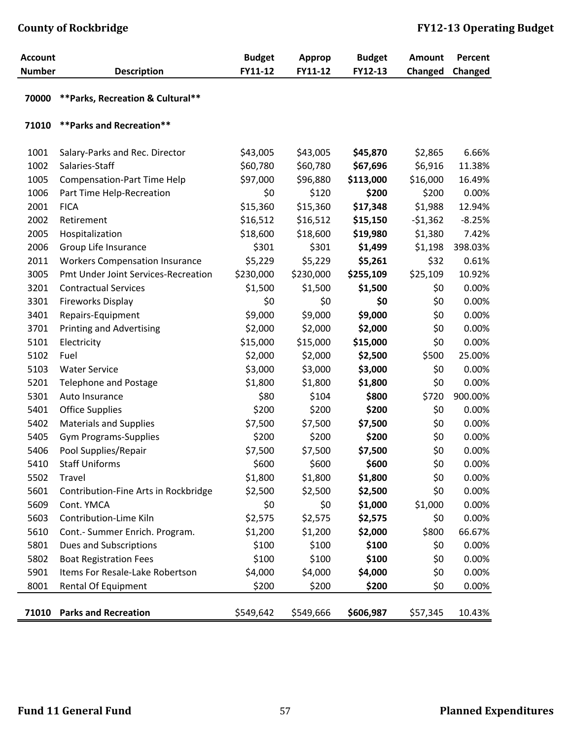| <b>Account</b><br><b>Number</b> |                                       | <b>Budget</b><br>FY11-12 | <b>Approp</b><br>FY11-12 | <b>Budget</b><br>FY12-13 | <b>Amount</b> | Percent  |
|---------------------------------|---------------------------------------|--------------------------|--------------------------|--------------------------|---------------|----------|
|                                 | <b>Description</b>                    |                          |                          |                          | Changed       | Changed  |
| 70000                           | ** Parks, Recreation & Cultural**     |                          |                          |                          |               |          |
| 71010                           | ** Parks and Recreation**             |                          |                          |                          |               |          |
| 1001                            | Salary-Parks and Rec. Director        | \$43,005                 | \$43,005                 | \$45,870                 | \$2,865       | 6.66%    |
| 1002                            | Salaries-Staff                        | \$60,780                 | \$60,780                 | \$67,696                 | \$6,916       | 11.38%   |
| 1005                            | <b>Compensation-Part Time Help</b>    | \$97,000                 | \$96,880                 | \$113,000                | \$16,000      | 16.49%   |
| 1006                            | Part Time Help-Recreation             | \$0                      | \$120                    | \$200                    | \$200         | 0.00%    |
| 2001                            | <b>FICA</b>                           | \$15,360                 | \$15,360                 | \$17,348                 | \$1,988       | 12.94%   |
| 2002                            | Retirement                            | \$16,512                 | \$16,512                 | \$15,150                 | $-51,362$     | $-8.25%$ |
| 2005                            | Hospitalization                       | \$18,600                 | \$18,600                 | \$19,980                 | \$1,380       | 7.42%    |
| 2006                            | Group Life Insurance                  | \$301                    | \$301                    | \$1,499                  | \$1,198       | 398.03%  |
| 2011                            | <b>Workers Compensation Insurance</b> | \$5,229                  | \$5,229                  | \$5,261                  | \$32          | 0.61%    |
| 3005                            | Pmt Under Joint Services-Recreation   | \$230,000                | \$230,000                | \$255,109                | \$25,109      | 10.92%   |
| 3201                            | <b>Contractual Services</b>           | \$1,500                  | \$1,500                  | \$1,500                  | \$0           | 0.00%    |
| 3301                            | Fireworks Display                     | \$0                      | \$0                      | \$0                      | \$0           | 0.00%    |
| 3401                            | Repairs-Equipment                     | \$9,000                  | \$9,000                  | \$9,000                  | \$0           | 0.00%    |
| 3701                            | <b>Printing and Advertising</b>       | \$2,000                  | \$2,000                  | \$2,000                  | \$0           | 0.00%    |
| 5101                            | Electricity                           | \$15,000                 | \$15,000                 | \$15,000                 | \$0           | 0.00%    |
| 5102                            | Fuel                                  | \$2,000                  | \$2,000                  | \$2,500                  | \$500         | 25.00%   |
| 5103                            | <b>Water Service</b>                  | \$3,000                  | \$3,000                  | \$3,000                  | \$0           | 0.00%    |
| 5201                            | <b>Telephone and Postage</b>          | \$1,800                  | \$1,800                  | \$1,800                  | \$0           | 0.00%    |
| 5301                            | Auto Insurance                        | \$80                     | \$104                    | \$800                    | \$720         | 900.00%  |
| 5401                            | <b>Office Supplies</b>                | \$200                    | \$200                    | \$200                    | \$0           | 0.00%    |
| 5402                            | <b>Materials and Supplies</b>         | \$7,500                  | \$7,500                  | \$7,500                  | \$0           | 0.00%    |
| 5405                            | <b>Gym Programs-Supplies</b>          | \$200                    | \$200                    | \$200                    | \$0           | 0.00%    |
| 5406                            | Pool Supplies/Repair                  | \$7,500                  | \$7,500                  | \$7,500                  | \$0           | 0.00%    |
| 5410                            | <b>Staff Uniforms</b>                 | \$600                    | \$600                    | \$600                    | \$0           | 0.00%    |
| 5502                            | Travel                                | \$1,800                  | \$1,800                  | \$1,800                  | \$0           | 0.00%    |
| 5601                            | Contribution-Fine Arts in Rockbridge  | \$2,500                  | \$2,500                  | \$2,500                  | \$0           | 0.00%    |
| 5609                            | Cont. YMCA                            | \$0                      | \$0                      | \$1,000                  | \$1,000       | 0.00%    |
| 5603                            | Contribution-Lime Kiln                | \$2,575                  | \$2,575                  | \$2,575                  | \$0           | 0.00%    |
| 5610                            | Cont.- Summer Enrich. Program.        | \$1,200                  | \$1,200                  | \$2,000                  | \$800         | 66.67%   |
| 5801                            | Dues and Subscriptions                | \$100                    | \$100                    | \$100                    | \$0           | 0.00%    |
| 5802                            | <b>Boat Registration Fees</b>         | \$100                    | \$100                    | \$100                    | \$0           | 0.00%    |
| 5901                            | Items For Resale-Lake Robertson       | \$4,000                  | \$4,000                  | \$4,000                  | \$0           | 0.00%    |
| 8001                            | <b>Rental Of Equipment</b>            | \$200                    | \$200                    | \$200                    | \$0           | 0.00%    |
|                                 | 71010 Parks and Recreation            | \$549,642                | \$549,666                | \$606,987                | \$57,345      | 10.43%   |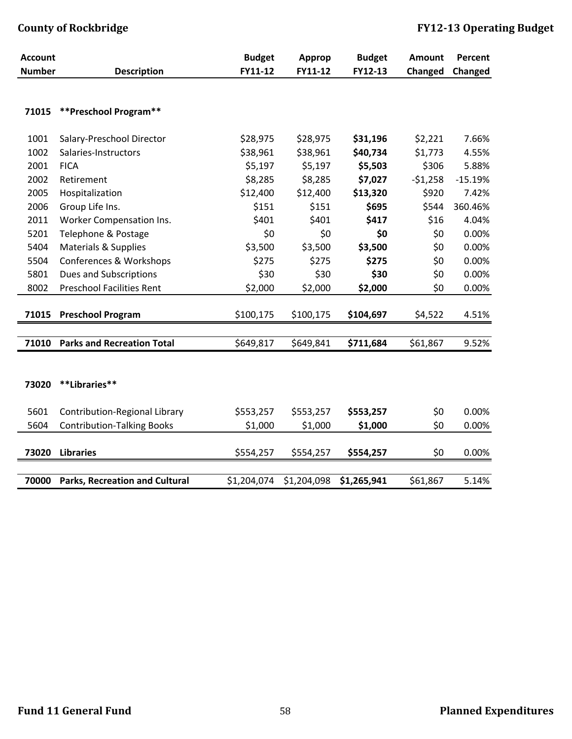| <b>Account</b> |                                       | <b>Budget</b> | <b>Approp</b> | <b>Budget</b> | <b>Amount</b> | Percent   |
|----------------|---------------------------------------|---------------|---------------|---------------|---------------|-----------|
| <b>Number</b>  | <b>Description</b>                    | FY11-12       | FY11-12       | FY12-13       | Changed       | Changed   |
|                |                                       |               |               |               |               |           |
| 71015          | **Preschool Program**                 |               |               |               |               |           |
| 1001           | Salary-Preschool Director             | \$28,975      | \$28,975      | \$31,196      | \$2,221       | 7.66%     |
| 1002           | Salaries-Instructors                  | \$38,961      | \$38,961      | \$40,734      | \$1,773       | 4.55%     |
| 2001           | <b>FICA</b>                           | \$5,197       | \$5,197       | \$5,503       | \$306         | 5.88%     |
| 2002           | Retirement                            | \$8,285       | \$8,285       | \$7,027       | $-51,258$     | $-15.19%$ |
| 2005           | Hospitalization                       | \$12,400      | \$12,400      | \$13,320      | \$920         | 7.42%     |
| 2006           | Group Life Ins.                       | \$151         | \$151         | \$695         | \$544         | 360.46%   |
| 2011           | Worker Compensation Ins.              | \$401         | \$401         | \$417         | \$16          | 4.04%     |
| 5201           | Telephone & Postage                   | \$0           | \$0           | \$0           | \$0           | 0.00%     |
| 5404           | Materials & Supplies                  | \$3,500       | \$3,500       | \$3,500       | \$0           | 0.00%     |
| 5504           | Conferences & Workshops               | \$275         | \$275         | \$275         | \$0           | 0.00%     |
| 5801           | <b>Dues and Subscriptions</b>         | \$30          | \$30          | \$30          | \$0           | 0.00%     |
| 8002           | <b>Preschool Facilities Rent</b>      | \$2,000       | \$2,000       | \$2,000       | \$0           | 0.00%     |
|                |                                       |               |               |               |               |           |
| 71015          | <b>Preschool Program</b>              | \$100,175     | \$100,175     | \$104,697     | \$4,522       | 4.51%     |
|                |                                       |               |               |               |               |           |
| 71010          | <b>Parks and Recreation Total</b>     | \$649,817     | \$649,841     | \$711,684     | \$61,867      | 9.52%     |
|                |                                       |               |               |               |               |           |
| 73020          | **Libraries**                         |               |               |               |               |           |
| 5601           | Contribution-Regional Library         | \$553,257     | \$553,257     | \$553,257     | \$0           | 0.00%     |
| 5604           | <b>Contribution-Talking Books</b>     | \$1,000       | \$1,000       | \$1,000       | \$0           | 0.00%     |
|                |                                       |               |               |               |               |           |
| 73020          | <b>Libraries</b>                      | \$554,257     | \$554,257     | \$554,257     | \$0           | 0.00%     |
|                |                                       |               |               |               |               |           |
| 70000          | <b>Parks, Recreation and Cultural</b> | \$1,204,074   | \$1,204,098   | \$1,265,941   | \$61,867      | 5.14%     |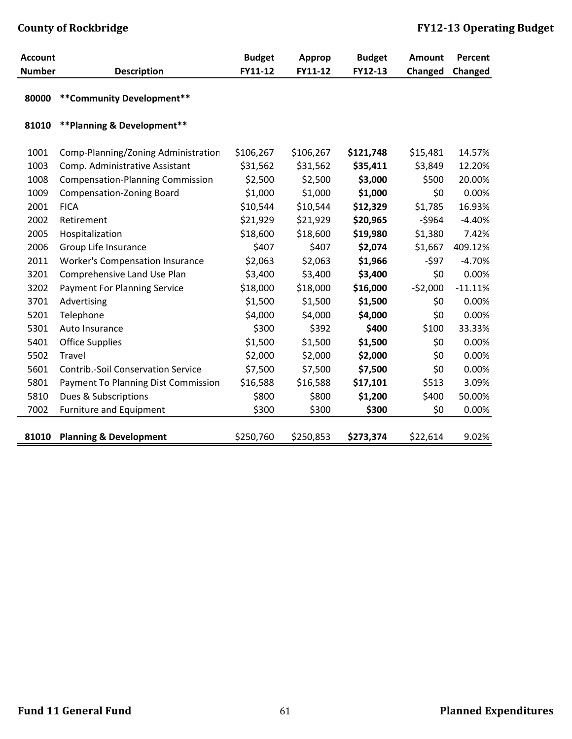| <b>Account</b> |                                           | <b>Budget</b> | <b>Approp</b> | <b>Budget</b> | <b>Amount</b> | Percent   |
|----------------|-------------------------------------------|---------------|---------------|---------------|---------------|-----------|
| <b>Number</b>  | <b>Description</b>                        | FY11-12       | FY11-12       | FY12-13       | Changed       | Changed   |
| 80000          | ** Community Development**                |               |               |               |               |           |
| 81010          | ** Planning & Development**               |               |               |               |               |           |
| 1001           | Comp-Planning/Zoning Administration       | \$106,267     | \$106,267     | \$121,748     | \$15,481      | 14.57%    |
| 1003           | Comp. Administrative Assistant            | \$31,562      | \$31,562      | \$35,411      | \$3,849       | 12.20%    |
| 1008           | <b>Compensation-Planning Commission</b>   | \$2,500       | \$2,500       | \$3,000       | \$500         | 20.00%    |
| 1009           | <b>Compensation-Zoning Board</b>          | \$1,000       | \$1,000       | \$1,000       | \$0           | 0.00%     |
| 2001           | <b>FICA</b>                               | \$10,544      | \$10,544      | \$12,329      | \$1,785       | 16.93%    |
| 2002           | Retirement                                | \$21,929      | \$21,929      | \$20,965      | $-5964$       | $-4.40%$  |
| 2005           | Hospitalization                           | \$18,600      | \$18,600      | \$19,980      | \$1,380       | 7.42%     |
| 2006           | Group Life Insurance                      | \$407         | \$407         | \$2,074       | \$1,667       | 409.12%   |
| 2011           | <b>Worker's Compensation Insurance</b>    | \$2,063       | \$2,063       | \$1,966       | $-597$        | $-4.70%$  |
| 3201           | Comprehensive Land Use Plan               | \$3,400       | \$3,400       | \$3,400       | \$0           | 0.00%     |
| 3202           | <b>Payment For Planning Service</b>       | \$18,000      | \$18,000      | \$16,000      | $-52,000$     | $-11.11%$ |
| 3701           | Advertising                               | \$1,500       | \$1,500       | \$1,500       | \$0           | 0.00%     |
| 5201           | Telephone                                 | \$4,000       | \$4,000       | \$4,000       | \$0           | 0.00%     |
| 5301           | Auto Insurance                            | \$300         | \$392         | \$400         | \$100         | 33.33%    |
| 5401           | <b>Office Supplies</b>                    | \$1,500       | \$1,500       | \$1,500       | \$0           | 0.00%     |
| 5502           | Travel                                    | \$2,000       | \$2,000       | \$2,000       | \$0           | 0.00%     |
| 5601           | <b>Contrib.-Soil Conservation Service</b> | \$7,500       | \$7,500       | \$7,500       | \$0           | 0.00%     |
| 5801           | Payment To Planning Dist Commission       | \$16,588      | \$16,588      | \$17,101      | \$513         | 3.09%     |
| 5810           | Dues & Subscriptions                      | \$800         | \$800         | \$1,200       | \$400         | 50.00%    |
| 7002           | <b>Furniture and Equipment</b>            | \$300         | \$300         | \$300         | \$0           | 0.00%     |
|                |                                           |               |               |               |               |           |
| 81010          | <b>Planning &amp; Development</b>         | \$250,760     | \$250,853     | \$273,374     | \$22,614      | 9.02%     |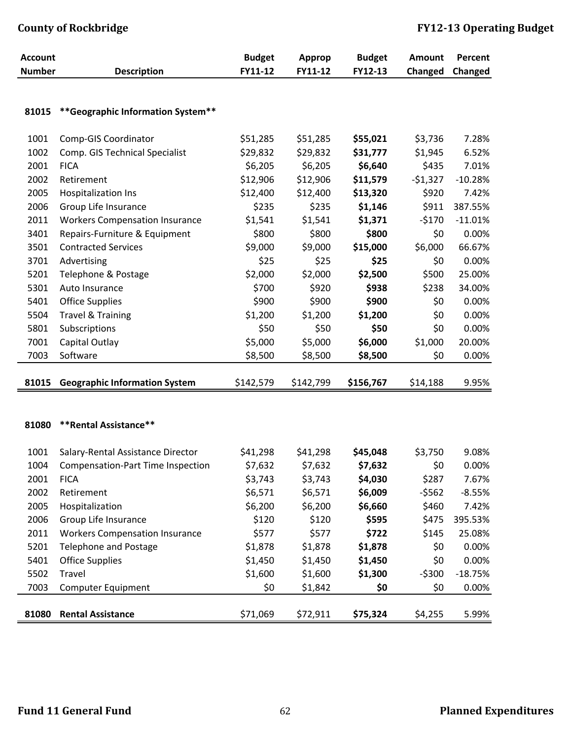| <b>Account</b> |                                       | <b>Budget</b> | <b>Approp</b> | <b>Budget</b> | <b>Amount</b> | Percent   |
|----------------|---------------------------------------|---------------|---------------|---------------|---------------|-----------|
| <b>Number</b>  | <b>Description</b>                    | FY11-12       | FY11-12       | FY12-13       | Changed       | Changed   |
|                |                                       |               |               |               |               |           |
| 81015          | ** Geographic Information System**    |               |               |               |               |           |
|                |                                       |               |               |               |               |           |
| 1001           | Comp-GIS Coordinator                  | \$51,285      | \$51,285      | \$55,021      | \$3,736       | 7.28%     |
| 1002           | Comp. GIS Technical Specialist        | \$29,832      | \$29,832      | \$31,777      | \$1,945       | 6.52%     |
| 2001           | <b>FICA</b>                           | \$6,205       | \$6,205       | \$6,640       | \$435         | 7.01%     |
| 2002           | Retirement                            | \$12,906      | \$12,906      | \$11,579      | $-51,327$     | $-10.28%$ |
| 2005           | <b>Hospitalization Ins</b>            | \$12,400      | \$12,400      | \$13,320      | \$920         | 7.42%     |
| 2006           | Group Life Insurance                  | \$235         | \$235         | \$1,146       | \$911         | 387.55%   |
| 2011           | <b>Workers Compensation Insurance</b> | \$1,541       | \$1,541       | \$1,371       | $-5170$       | $-11.01%$ |
| 3401           | Repairs-Furniture & Equipment         | \$800         | \$800         | \$800         | \$0           | 0.00%     |
| 3501           | <b>Contracted Services</b>            | \$9,000       | \$9,000       | \$15,000      | \$6,000       | 66.67%    |
| 3701           | Advertising                           | \$25          | \$25          | \$25          | \$0           | 0.00%     |
| 5201           | Telephone & Postage                   | \$2,000       | \$2,000       | \$2,500       | \$500         | 25.00%    |
| 5301           | Auto Insurance                        | \$700         | \$920         | \$938         | \$238         | 34.00%    |
| 5401           | <b>Office Supplies</b>                | \$900         | \$900         | \$900         | \$0           | 0.00%     |
| 5504           | <b>Travel &amp; Training</b>          | \$1,200       | \$1,200       | \$1,200       | \$0           | 0.00%     |
| 5801           | Subscriptions                         | \$50          | \$50          | \$50          | \$0           | 0.00%     |
| 7001           | Capital Outlay                        | \$5,000       | \$5,000       | \$6,000       | \$1,000       | 20.00%    |
| 7003           | Software                              | \$8,500       | \$8,500       | \$8,500       | \$0           | 0.00%     |
|                |                                       |               |               |               |               |           |
| 81015          | <b>Geographic Information System</b>  | \$142,579     | \$142,799     | \$156,767     | \$14,188      | 9.95%     |
|                |                                       |               |               |               |               |           |
|                |                                       |               |               |               |               |           |
| 81080          | **Rental Assistance**                 |               |               |               |               |           |
| 1001           | Salary-Rental Assistance Director     | \$41,298      | \$41,298      | \$45,048      | \$3,750       | 9.08%     |
| 1004           | Compensation-Part Time Inspection     | \$7,632       | \$7,632       | \$7,632       | \$0           | 0.00%     |
| 2001           | <b>FICA</b>                           | \$3,743       | \$3,743       | \$4,030       | \$287         | 7.67%     |
| 2002           | Retirement                            | \$6,571       | \$6,571       | \$6,009       | $-5562$       | $-8.55%$  |
| 2005           | Hospitalization                       | \$6,200       | \$6,200       | \$6,660       | \$460         | 7.42%     |
| 2006           | Group Life Insurance                  | \$120         | \$120         | \$595         | \$475         | 395.53%   |
| 2011           | <b>Workers Compensation Insurance</b> | \$577         | \$577         | \$722         | \$145         | 25.08%    |
| 5201           | <b>Telephone and Postage</b>          | \$1,878       | \$1,878       | \$1,878       | \$0           | 0.00%     |
| 5401           | <b>Office Supplies</b>                | \$1,450       | \$1,450       | \$1,450       | \$0           | 0.00%     |
| 5502           | Travel                                | \$1,600       | \$1,600       | \$1,300       | $-5300$       | $-18.75%$ |
| 7003           | <b>Computer Equipment</b>             | \$0           | \$1,842       | \$0           | \$0           | 0.00%     |
|                |                                       |               |               |               |               |           |
| 81080          | <b>Rental Assistance</b>              | \$71,069      | \$72,911      | \$75,324      | \$4,255       | 5.99%     |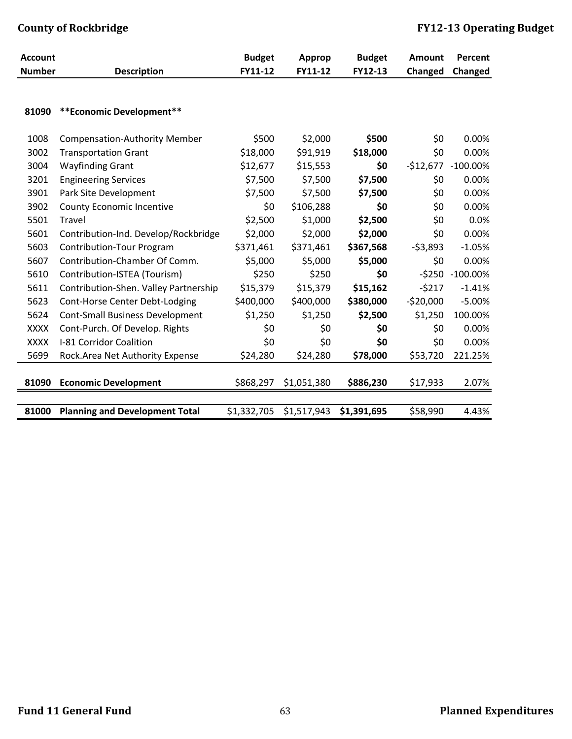| <b>Account</b> |                                        | <b>Budget</b> | <b>Approp</b> | <b>Budget</b> | <b>Amount</b> | Percent     |
|----------------|----------------------------------------|---------------|---------------|---------------|---------------|-------------|
| <b>Number</b>  | <b>Description</b>                     | FY11-12       | FY11-12       | FY12-13       | Changed       | Changed     |
|                |                                        |               |               |               |               |             |
| 81090          | ** Economic Development**              |               |               |               |               |             |
| 1008           | <b>Compensation-Authority Member</b>   | \$500         | \$2,000       | \$500         | \$0           | 0.00%       |
| 3002           | <b>Transportation Grant</b>            | \$18,000      | \$91,919      | \$18,000      | \$0           | 0.00%       |
| 3004           | <b>Wayfinding Grant</b>                | \$12,677      | \$15,553      | \$0           | $-$12,677$    | $-100.00\%$ |
| 3201           | <b>Engineering Services</b>            | \$7,500       | \$7,500       | \$7,500       | \$0           | 0.00%       |
| 3901           | Park Site Development                  | \$7,500       | \$7,500       | \$7,500       | \$0           | 0.00%       |
| 3902           | <b>County Economic Incentive</b>       | \$0           | \$106,288     | \$0           | \$0           | 0.00%       |
| 5501           | Travel                                 | \$2,500       | \$1,000       | \$2,500       | \$0           | 0.0%        |
| 5601           | Contribution-Ind. Develop/Rockbridge   | \$2,000       | \$2,000       | \$2,000       | \$0           | 0.00%       |
| 5603           | <b>Contribution-Tour Program</b>       | \$371,461     | \$371,461     | \$367,568     | $-53,893$     | $-1.05%$    |
| 5607           | Contribution-Chamber Of Comm.          | \$5,000       | \$5,000       | \$5,000       | \$0           | 0.00%       |
| 5610           | Contribution-ISTEA (Tourism)           | \$250         | \$250         | \$0           | $-5250$       | $-100.00\%$ |
| 5611           | Contribution-Shen. Valley Partnership  | \$15,379      | \$15,379      | \$15,162      | $-5217$       | $-1.41%$    |
| 5623           | Cont-Horse Center Debt-Lodging         | \$400,000     | \$400,000     | \$380,000     | $-520,000$    | $-5.00%$    |
| 5624           | <b>Cont-Small Business Development</b> | \$1,250       | \$1,250       | \$2,500       | \$1,250       | 100.00%     |
| <b>XXXX</b>    | Cont-Purch. Of Develop. Rights         | \$0           | \$0           | \$0           | \$0           | 0.00%       |
| <b>XXXX</b>    | I-81 Corridor Coalition                | \$0           | \$0           | \$0           | \$0           | 0.00%       |
| 5699           | Rock.Area Net Authority Expense        | \$24,280      | \$24,280      | \$78,000      | \$53,720      | 221.25%     |
|                |                                        |               |               |               |               |             |
| 81090          | <b>Economic Development</b>            | \$868,297     | \$1,051,380   | \$886,230     | \$17,933      | 2.07%       |
|                |                                        |               |               |               |               |             |
| 81000          | <b>Planning and Development Total</b>  | \$1,332,705   | \$1,517,943   | \$1,391,695   | \$58,990      | 4.43%       |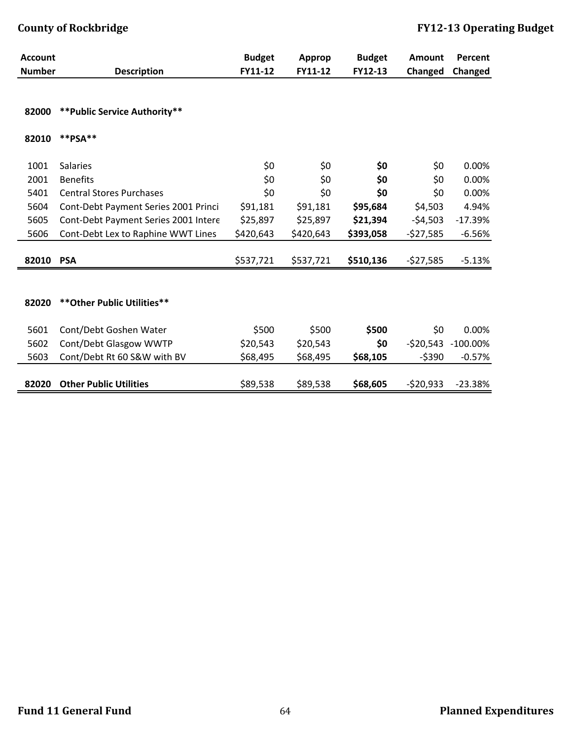| <b>Account</b> |                                      | <b>Budget</b> | <b>Approp</b> | <b>Budget</b> | Amount     | Percent        |
|----------------|--------------------------------------|---------------|---------------|---------------|------------|----------------|
| <b>Number</b>  | <b>Description</b>                   | FY11-12       | FY11-12       | FY12-13       | Changed    | <b>Changed</b> |
|                |                                      |               |               |               |            |                |
| 82000          | ** Public Service Authority**        |               |               |               |            |                |
| 82010          | **PSA**                              |               |               |               |            |                |
| 1001           | <b>Salaries</b>                      | \$0           | \$0           | \$0           | \$0        | 0.00%          |
| 2001           | <b>Benefits</b>                      | \$0           | \$0           | \$0           | \$0        | 0.00%          |
| 5401           | <b>Central Stores Purchases</b>      | \$0           | \$0           | \$0           | \$0        | 0.00%          |
| 5604           | Cont-Debt Payment Series 2001 Princi | \$91,181      | \$91,181      | \$95,684      | \$4,503    | 4.94%          |
| 5605           | Cont-Debt Payment Series 2001 Intere | \$25,897      | \$25,897      | \$21,394      | $-54,503$  | $-17.39%$      |
| 5606           | Cont-Debt Lex to Raphine WWT Lines   | \$420,643     | \$420,643     | \$393,058     | $-527,585$ | $-6.56%$       |
| 82010 PSA      |                                      | \$537,721     | \$537,721     | \$510,136     | $-527,585$ | $-5.13%$       |
|                |                                      |               |               |               |            |                |
|                |                                      |               |               |               |            |                |
| 82020          | ** Other Public Utilities**          |               |               |               |            |                |
| 5601           | Cont/Debt Goshen Water               | \$500         | \$500         | \$500         | \$0        | 0.00%          |
| 5602           | Cont/Debt Glasgow WWTP               | \$20,543      | \$20,543      | \$0           | $-520,543$ | $-100.00\%$    |
| 5603           | Cont/Debt Rt 60 S&W with BV          | \$68,495      | \$68,495      | \$68,105      | $-$ \$390  | $-0.57%$       |
|                |                                      |               |               |               |            |                |
| 82020          | <b>Other Public Utilities</b>        | \$89,538      | \$89,538      | \$68,605      | $-520,933$ | $-23.38%$      |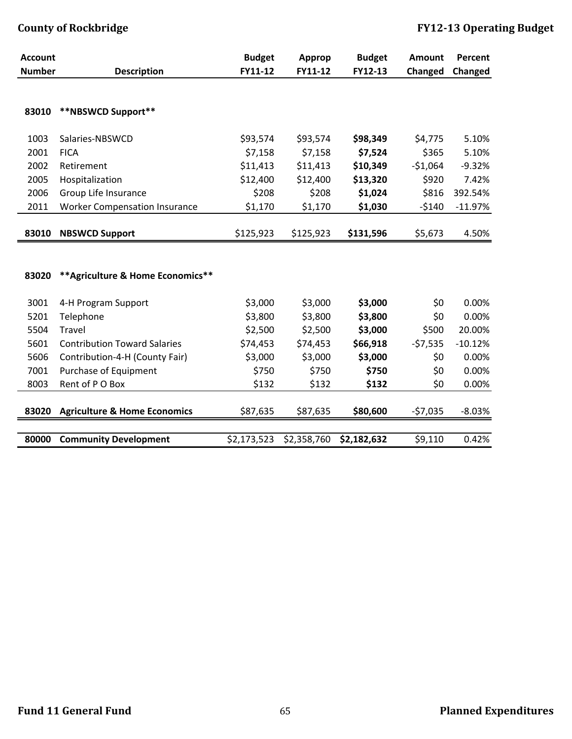| <b>Account</b> |                                         | <b>Budget</b> | <b>Approp</b> | <b>Budget</b> | <b>Amount</b> | Percent   |
|----------------|-----------------------------------------|---------------|---------------|---------------|---------------|-----------|
| <b>Number</b>  | <b>Description</b>                      | FY11-12       | FY11-12       | FY12-13       | Changed       | Changed   |
|                |                                         |               |               |               |               |           |
|                |                                         |               |               |               |               |           |
| 83010          | **NBSWCD Support**                      |               |               |               |               |           |
| 1003           | Salaries-NBSWCD                         | \$93,574      | \$93,574      | \$98,349      | \$4,775       | 5.10%     |
| 2001           | <b>FICA</b>                             | \$7,158       | \$7,158       | \$7,524       | \$365         | 5.10%     |
| 2002           | Retirement                              | \$11,413      | \$11,413      | \$10,349      | $-51,064$     | $-9.32%$  |
| 2005           | Hospitalization                         | \$12,400      | \$12,400      | \$13,320      | \$920         | 7.42%     |
| 2006           | Group Life Insurance                    | \$208         | \$208         | \$1,024       | \$816         | 392.54%   |
| 2011           | <b>Worker Compensation Insurance</b>    | \$1,170       | \$1,170       | \$1,030       | $-5140$       | $-11.97%$ |
|                |                                         |               |               |               |               |           |
| 83010          | <b>NBSWCD Support</b>                   | \$125,923     | \$125,923     | \$131,596     | \$5,673       | 4.50%     |
|                |                                         |               |               |               |               |           |
|                |                                         |               |               |               |               |           |
| 83020          | ** Agriculture & Home Economics**       |               |               |               |               |           |
| 3001           | 4-H Program Support                     | \$3,000       | \$3,000       | \$3,000       | \$0           | 0.00%     |
| 5201           | Telephone                               | \$3,800       | \$3,800       | \$3,800       | \$0           | 0.00%     |
| 5504           | <b>Travel</b>                           | \$2,500       | \$2,500       | \$3,000       | \$500         | 20.00%    |
| 5601           | <b>Contribution Toward Salaries</b>     | \$74,453      | \$74,453      | \$66,918      | $-57,535$     | $-10.12%$ |
| 5606           | Contribution-4-H (County Fair)          | \$3,000       | \$3,000       | \$3,000       | \$0           | 0.00%     |
| 7001           | Purchase of Equipment                   | \$750         | \$750         | \$750         | \$0           | 0.00%     |
| 8003           | Rent of PO Box                          | \$132         | \$132         | \$132         | \$0           | 0.00%     |
|                |                                         |               |               |               |               |           |
| 83020          | <b>Agriculture &amp; Home Economics</b> | \$87,635      | \$87,635      | \$80,600      | $-57,035$     | $-8.03%$  |
|                |                                         |               |               |               |               |           |
| 80000          | <b>Community Development</b>            | \$2,173,523   | \$2,358,760   | \$2,182,632   | \$9,110       | 0.42%     |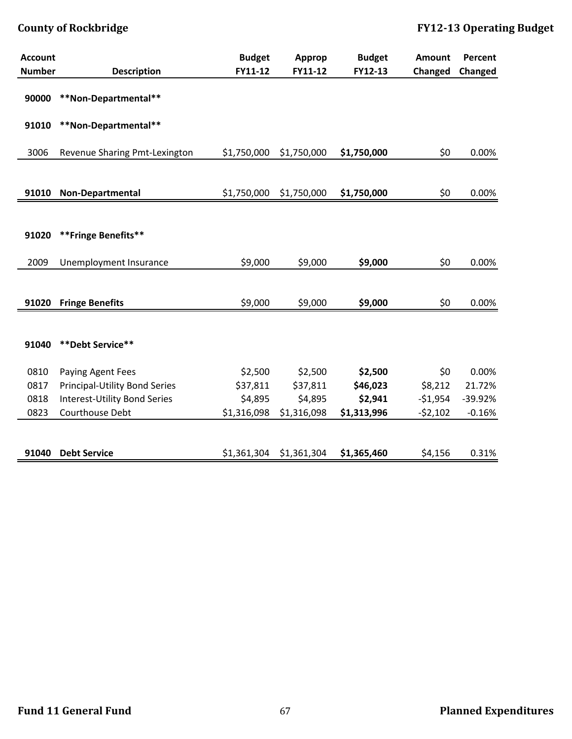| <b>Account</b> |                                      | <b>Budget</b> | Approp      | <b>Budget</b> | <b>Amount</b> | Percent  |
|----------------|--------------------------------------|---------------|-------------|---------------|---------------|----------|
| <b>Number</b>  | <b>Description</b>                   | FY11-12       | FY11-12     | FY12-13       | Changed       | Changed  |
| 90000          | **Non-Departmental**                 |               |             |               |               |          |
| 91010          | **Non-Departmental**                 |               |             |               |               |          |
| 3006           | Revenue Sharing Pmt-Lexington        | \$1,750,000   | \$1,750,000 | \$1,750,000   | \$0           | 0.00%    |
|                |                                      |               |             |               |               |          |
| 91010          | Non-Departmental                     | \$1,750,000   | \$1,750,000 | \$1,750,000   | \$0           | 0.00%    |
|                |                                      |               |             |               |               |          |
| 91020          | **Fringe Benefits**                  |               |             |               |               |          |
| 2009           | Unemployment Insurance               | \$9,000       | \$9,000     | \$9,000       | \$0           | 0.00%    |
|                |                                      |               |             |               |               |          |
| 91020          | <b>Fringe Benefits</b>               | \$9,000       | \$9,000     | \$9,000       | \$0           | 0.00%    |
| 91040          | **Debt Service**                     |               |             |               |               |          |
| 0810           | Paying Agent Fees                    | \$2,500       | \$2,500     | \$2,500       | \$0           | 0.00%    |
| 0817           | <b>Principal-Utility Bond Series</b> | \$37,811      | \$37,811    | \$46,023      | \$8,212       | 21.72%   |
| 0818           | <b>Interest-Utility Bond Series</b>  | \$4,895       | \$4,895     | \$2,941       | $-$1,954$     | -39.92%  |
| 0823           | Courthouse Debt                      | \$1,316,098   | \$1,316,098 | \$1,313,996   | $-52,102$     | $-0.16%$ |
|                |                                      |               |             |               |               |          |
| 91040          | <b>Debt Service</b>                  | \$1,361,304   | \$1,361,304 | \$1,365,460   | \$4,156       | 0.31%    |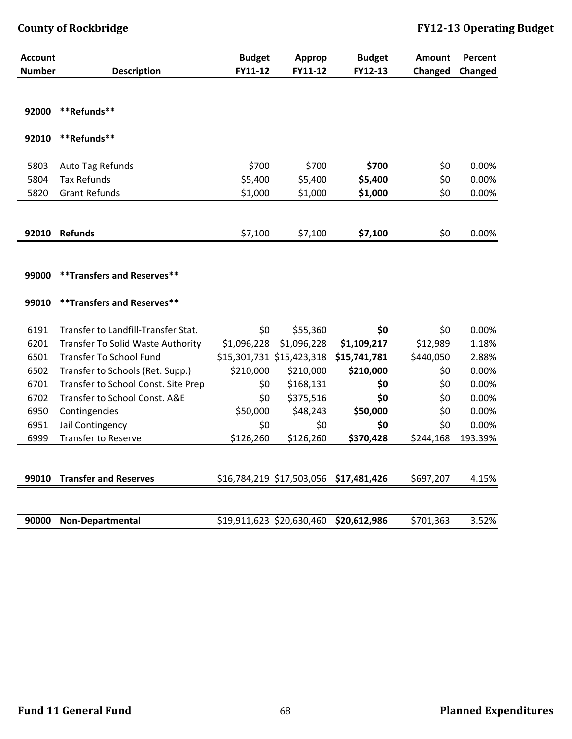| <b>Account</b> |                                     | <b>Budget</b> | <b>Approp</b>             | <b>Budget</b> | <b>Amount</b> | Percent |
|----------------|-------------------------------------|---------------|---------------------------|---------------|---------------|---------|
| <b>Number</b>  | <b>Description</b>                  | FY11-12       | FY11-12                   | FY12-13       | Changed       | Changed |
|                |                                     |               |                           |               |               |         |
| 92000          | **Refunds**                         |               |                           |               |               |         |
| 92010          | **Refunds**                         |               |                           |               |               |         |
| 5803           | Auto Tag Refunds                    | \$700         | \$700                     | \$700         | \$0           | 0.00%   |
| 5804           | <b>Tax Refunds</b>                  | \$5,400       | \$5,400                   | \$5,400       | \$0           | 0.00%   |
| 5820           | <b>Grant Refunds</b>                | \$1,000       | \$1,000                   | \$1,000       | \$0           | 0.00%   |
|                |                                     |               |                           |               |               |         |
| 92010          | <b>Refunds</b>                      | \$7,100       | \$7,100                   | \$7,100       | \$0           | 0.00%   |
|                |                                     |               |                           |               |               |         |
|                |                                     |               |                           |               |               |         |
| 99000          | ** Transfers and Reserves**         |               |                           |               |               |         |
| 99010          | ** Transfers and Reserves**         |               |                           |               |               |         |
| 6191           | Transfer to Landfill-Transfer Stat. | \$0           | \$55,360                  | \$0           | \$0           | 0.00%   |
| 6201           | Transfer To Solid Waste Authority   | \$1,096,228   | \$1,096,228               | \$1,109,217   | \$12,989      | 1.18%   |
| 6501           | <b>Transfer To School Fund</b>      |               | \$15,301,731 \$15,423,318 | \$15,741,781  | \$440,050     | 2.88%   |
| 6502           | Transfer to Schools (Ret. Supp.)    | \$210,000     | \$210,000                 | \$210,000     | \$0           | 0.00%   |
| 6701           | Transfer to School Const. Site Prep | \$0           | \$168,131                 | \$0           | \$0           | 0.00%   |
| 6702           | Transfer to School Const. A&E       | \$0           | \$375,516                 | \$0           | \$0           | 0.00%   |
| 6950           | Contingencies                       | \$50,000      | \$48,243                  | \$50,000      | \$0           | 0.00%   |
| 6951           | Jail Contingency                    | \$0           | \$0                       | \$0           | \$0           | 0.00%   |
| 6999           | <b>Transfer to Reserve</b>          | \$126,260     | \$126,260                 | \$370,428     | \$244,168     | 193.39% |
|                |                                     |               |                           |               |               |         |
| 99010          | <b>Transfer and Reserves</b>        |               | \$16,784,219 \$17,503,056 | \$17,481,426  | \$697,207     | 4.15%   |
|                |                                     |               |                           |               |               |         |
| 90000          | Non-Departmental                    |               | \$19,911,623 \$20,630,460 | \$20,612,986  | \$701,363     | 3.52%   |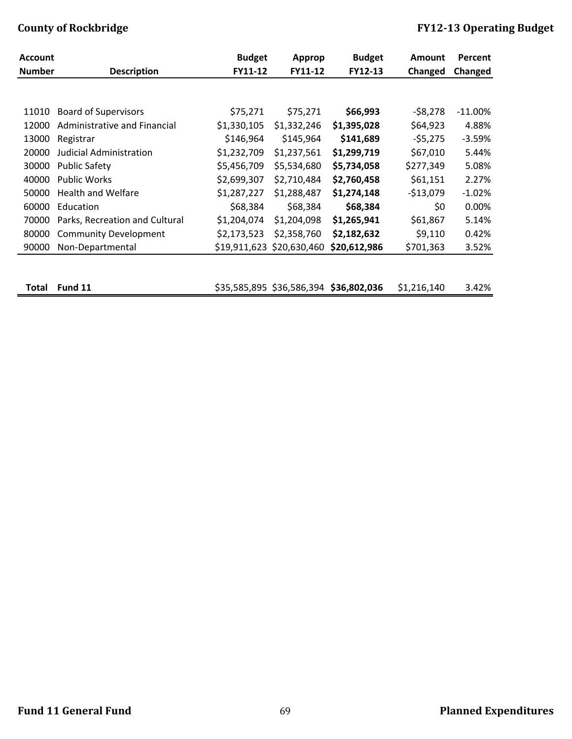| <b>Account</b> |                                | <b>Budget</b> | <b>Approp</b>             | <b>Budget</b> | <b>Amount</b> | Percent    |
|----------------|--------------------------------|---------------|---------------------------|---------------|---------------|------------|
| <b>Number</b>  | <b>Description</b>             | FY11-12       | FY11-12                   | FY12-13       | Changed       | Changed    |
|                |                                |               |                           |               |               |            |
|                |                                |               |                           |               |               |            |
| 11010          | <b>Board of Supervisors</b>    | \$75,271      | \$75,271                  | \$66,993      | $-58,278$     | $-11.00\%$ |
| 12000          | Administrative and Financial   | \$1,330,105   | \$1,332,246               | \$1,395,028   | \$64,923      | 4.88%      |
| 13000          | Registrar                      | \$146,964     | \$145,964                 | \$141,689     | $-55,275$     | $-3.59%$   |
| 20000          | <b>Judicial Administration</b> | \$1,232,709   | \$1,237,561               | \$1,299,719   | \$67,010      | 5.44%      |
| 30000          | <b>Public Safety</b>           | \$5,456,709   | \$5,534,680               | \$5,734,058   | \$277,349     | 5.08%      |
| 40000          | <b>Public Works</b>            | \$2,699,307   | \$2,710,484               | \$2,760,458   | \$61,151      | 2.27%      |
| 50000          | <b>Health and Welfare</b>      | \$1,287,227   | \$1,288,487               | \$1,274,148   | $-$13,079$    | $-1.02%$   |
| 60000          | Education                      | \$68,384      | \$68,384                  | \$68,384      | \$0           | 0.00%      |
| 70000          | Parks, Recreation and Cultural | \$1,204,074   | \$1,204,098               | \$1,265,941   | \$61,867      | 5.14%      |
| 80000          | <b>Community Development</b>   | \$2,173,523   | \$2,358,760               | \$2,182,632   | \$9,110       | 0.42%      |
| 90000          | Non-Departmental               |               | \$19,911,623 \$20,630,460 | \$20,612,986  | \$701,363     | 3.52%      |
|                |                                |               |                           |               |               |            |

**Total Fund 11** \$35,585,895 \$36,586,394 **\$36,802,036** \$1,216,140 3.42%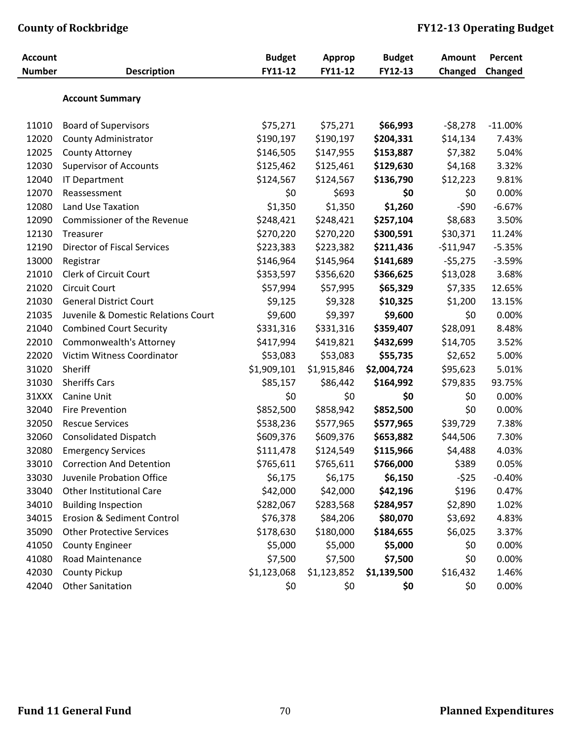| <b>Account</b> |                                     | <b>Budget</b> | <b>Approp</b> | <b>Budget</b> | <b>Amount</b> | Percent   |
|----------------|-------------------------------------|---------------|---------------|---------------|---------------|-----------|
| <b>Number</b>  | <b>Description</b>                  | FY11-12       | FY11-12       | FY12-13       | Changed       | Changed   |
|                | <b>Account Summary</b>              |               |               |               |               |           |
| 11010          | <b>Board of Supervisors</b>         | \$75,271      | \$75,271      | \$66,993      | $-58,278$     | $-11.00%$ |
| 12020          | County Administrator                | \$190,197     | \$190,197     | \$204,331     | \$14,134      | 7.43%     |
| 12025          | County Attorney                     | \$146,505     | \$147,955     | \$153,887     | \$7,382       | 5.04%     |
| 12030          | <b>Supervisor of Accounts</b>       | \$125,462     | \$125,461     | \$129,630     | \$4,168       | 3.32%     |
| 12040          | <b>IT Department</b>                | \$124,567     | \$124,567     | \$136,790     | \$12,223      | 9.81%     |
| 12070          | Reassessment                        | \$0           | \$693         | \$0           | \$0           | 0.00%     |
| 12080          | Land Use Taxation                   | \$1,350       | \$1,350       | \$1,260       | $-590$        | $-6.67%$  |
| 12090          | Commissioner of the Revenue         | \$248,421     | \$248,421     | \$257,104     | \$8,683       | 3.50%     |
| 12130          | Treasurer                           | \$270,220     | \$270,220     | \$300,591     | \$30,371      | 11.24%    |
| 12190          | <b>Director of Fiscal Services</b>  | \$223,383     | \$223,382     | \$211,436     | $-511,947$    | $-5.35%$  |
| 13000          | Registrar                           | \$146,964     | \$145,964     | \$141,689     | $-55,275$     | $-3.59%$  |
| 21010          | Clerk of Circuit Court              | \$353,597     | \$356,620     | \$366,625     | \$13,028      | 3.68%     |
| 21020          | <b>Circuit Court</b>                | \$57,994      | \$57,995      | \$65,329      | \$7,335       | 12.65%    |
| 21030          | <b>General District Court</b>       | \$9,125       | \$9,328       | \$10,325      | \$1,200       | 13.15%    |
| 21035          | Juvenile & Domestic Relations Court | \$9,600       | \$9,397       | \$9,600       | \$0           | 0.00%     |
| 21040          | <b>Combined Court Security</b>      | \$331,316     | \$331,316     | \$359,407     | \$28,091      | 8.48%     |
| 22010          | Commonwealth's Attorney             | \$417,994     | \$419,821     | \$432,699     | \$14,705      | 3.52%     |
| 22020          | Victim Witness Coordinator          | \$53,083      | \$53,083      | \$55,735      | \$2,652       | 5.00%     |
| 31020          | Sheriff                             | \$1,909,101   | \$1,915,846   | \$2,004,724   | \$95,623      | 5.01%     |
| 31030          | <b>Sheriffs Cars</b>                | \$85,157      | \$86,442      | \$164,992     | \$79,835      | 93.75%    |
| 31XXX          | Canine Unit                         | \$0           | \$0           | \$0           | \$0           | 0.00%     |
| 32040          | <b>Fire Prevention</b>              | \$852,500     | \$858,942     | \$852,500     | \$0           | 0.00%     |
| 32050          | <b>Rescue Services</b>              | \$538,236     | \$577,965     | \$577,965     | \$39,729      | 7.38%     |
| 32060          | <b>Consolidated Dispatch</b>        | \$609,376     | \$609,376     | \$653,882     | \$44,506      | 7.30%     |
| 32080          | <b>Emergency Services</b>           | \$111,478     | \$124,549     | \$115,966     | \$4,488       | 4.03%     |
| 33010          | <b>Correction And Detention</b>     | \$765,611     | \$765,611     | \$766,000     | \$389         | 0.05%     |
| 33030          | Juvenile Probation Office           | \$6,175       | \$6,175       | \$6,150       | $-525$        | $-0.40%$  |
| 33040          | <b>Other Institutional Care</b>     | \$42,000      | \$42,000      | \$42,196      | \$196         | 0.47%     |
| 34010          | <b>Building Inspection</b>          | \$282,067     | \$283,568     | \$284,957     | \$2,890       | 1.02%     |
| 34015          | Erosion & Sediment Control          | \$76,378      | \$84,206      | \$80,070      | \$3,692       | 4.83%     |
| 35090          | <b>Other Protective Services</b>    | \$178,630     | \$180,000     | \$184,655     | \$6,025       | 3.37%     |
| 41050          | <b>County Engineer</b>              | \$5,000       | \$5,000       | \$5,000       | \$0           | 0.00%     |
| 41080          | Road Maintenance                    | \$7,500       | \$7,500       | \$7,500       | \$0           | 0.00%     |
| 42030          | <b>County Pickup</b>                | \$1,123,068   | \$1,123,852   | \$1,139,500   | \$16,432      | 1.46%     |
| 42040          | <b>Other Sanitation</b>             | \$0           | \$0           | \$0           | \$0           | 0.00%     |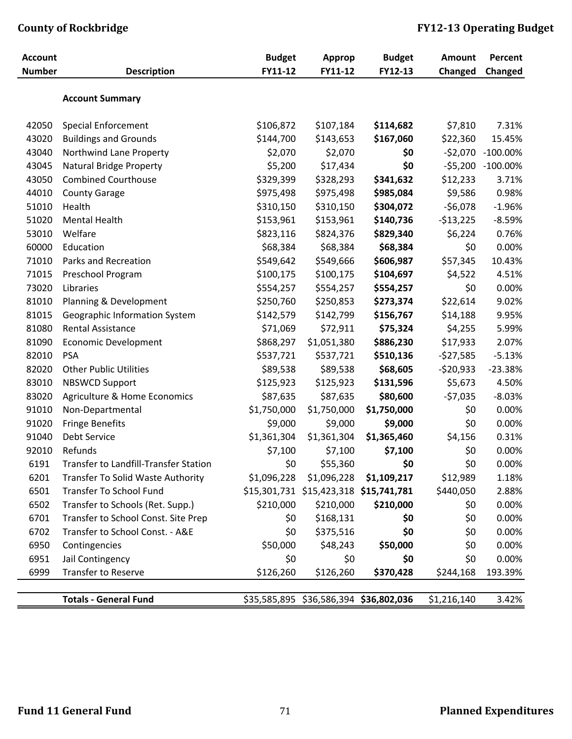| <b>Account</b> |                                       | <b>Budget</b> | Approp                                 | <b>Budget</b> | Amount      | Percent           |
|----------------|---------------------------------------|---------------|----------------------------------------|---------------|-------------|-------------------|
| <b>Number</b>  | <b>Description</b>                    | FY11-12       | FY11-12                                | FY12-13       | Changed     | Changed           |
|                | <b>Account Summary</b>                |               |                                        |               |             |                   |
| 42050          | <b>Special Enforcement</b>            | \$106,872     | \$107,184                              | \$114,682     | \$7,810     | 7.31%             |
| 43020          | <b>Buildings and Grounds</b>          | \$144,700     | \$143,653                              | \$167,060     | \$22,360    | 15.45%            |
| 43040          | Northwind Lane Property               | \$2,070       | \$2,070                                | \$0           | $-52,070$   | $-100.00\%$       |
| 43045          | <b>Natural Bridge Property</b>        | \$5,200       | \$17,434                               | \$0           |             | -\$5,200 -100.00% |
| 43050          | <b>Combined Courthouse</b>            | \$329,399     | \$328,293                              | \$341,632     | \$12,233    | 3.71%             |
| 44010          | <b>County Garage</b>                  | \$975,498     | \$975,498                              | \$985,084     | \$9,586     | 0.98%             |
| 51010          | Health                                | \$310,150     | \$310,150                              | \$304,072     | $-56,078$   | $-1.96%$          |
| 51020          | <b>Mental Health</b>                  | \$153,961     | \$153,961                              | \$140,736     | $-513,225$  | $-8.59%$          |
| 53010          | Welfare                               | \$823,116     | \$824,376                              | \$829,340     | \$6,224     | 0.76%             |
| 60000          | Education                             | \$68,384      | \$68,384                               | \$68,384      | \$0         | 0.00%             |
| 71010          | Parks and Recreation                  | \$549,642     | \$549,666                              | \$606,987     | \$57,345    | 10.43%            |
| 71015          | Preschool Program                     | \$100,175     | \$100,175                              | \$104,697     | \$4,522     | 4.51%             |
| 73020          | Libraries                             | \$554,257     | \$554,257                              | \$554,257     | \$0         | 0.00%             |
| 81010          | Planning & Development                | \$250,760     | \$250,853                              | \$273,374     | \$22,614    | 9.02%             |
| 81015          | Geographic Information System         | \$142,579     | \$142,799                              | \$156,767     | \$14,188    | 9.95%             |
| 81080          | <b>Rental Assistance</b>              | \$71,069      | \$72,911                               | \$75,324      | \$4,255     | 5.99%             |
| 81090          | <b>Economic Development</b>           | \$868,297     | \$1,051,380                            | \$886,230     | \$17,933    | 2.07%             |
| 82010          | <b>PSA</b>                            | \$537,721     | \$537,721                              | \$510,136     | $-527,585$  | $-5.13%$          |
| 82020          | <b>Other Public Utilities</b>         | \$89,538      | \$89,538                               | \$68,605      | $-520,933$  | $-23.38%$         |
| 83010          | <b>NBSWCD Support</b>                 | \$125,923     | \$125,923                              | \$131,596     | \$5,673     | 4.50%             |
| 83020          | Agriculture & Home Economics          | \$87,635      | \$87,635                               | \$80,600      | $-57,035$   | $-8.03%$          |
| 91010          | Non-Departmental                      | \$1,750,000   | \$1,750,000                            | \$1,750,000   | \$0         | 0.00%             |
| 91020          | <b>Fringe Benefits</b>                | \$9,000       | \$9,000                                | \$9,000       | \$0         | 0.00%             |
| 91040          | Debt Service                          | \$1,361,304   | \$1,361,304                            | \$1,365,460   | \$4,156     | 0.31%             |
| 92010          | Refunds                               | \$7,100       | \$7,100                                | \$7,100       | \$0         | 0.00%             |
| 6191           | Transfer to Landfill-Transfer Station | \$0           | \$55,360                               | \$0           | \$0         | 0.00%             |
| 6201           | Transfer To Solid Waste Authority     | \$1,096,228   | \$1,096,228                            | \$1,109,217   | \$12,989    | 1.18%             |
| 6501           | <b>Transfer To School Fund</b>        |               | \$15,301,731 \$15,423,318 \$15,741,781 |               | \$440,050   | 2.88%             |
| 6502           | Transfer to Schools (Ret. Supp.)      | \$210,000     | \$210,000                              | \$210,000     | \$0         | 0.00%             |
| 6701           | Transfer to School Const. Site Prep   | \$0           | \$168,131                              | \$0           | \$0         | 0.00%             |
| 6702           | Transfer to School Const. - A&E       | \$0           | \$375,516                              | \$0           | \$0         | 0.00%             |
| 6950           | Contingencies                         | \$50,000      | \$48,243                               | \$50,000      | \$0         | 0.00%             |
| 6951           | Jail Contingency                      | \$0           | \$0                                    | \$0           | \$0         | 0.00%             |
| 6999           | Transfer to Reserve                   | \$126,260     | \$126,260                              | \$370,428     | \$244,168   | 193.39%           |
|                |                                       |               |                                        |               |             |                   |
|                | <b>Totals - General Fund</b>          |               | \$35,585,895 \$36,586,394 \$36,802,036 |               | \$1,216,140 | 3.42%             |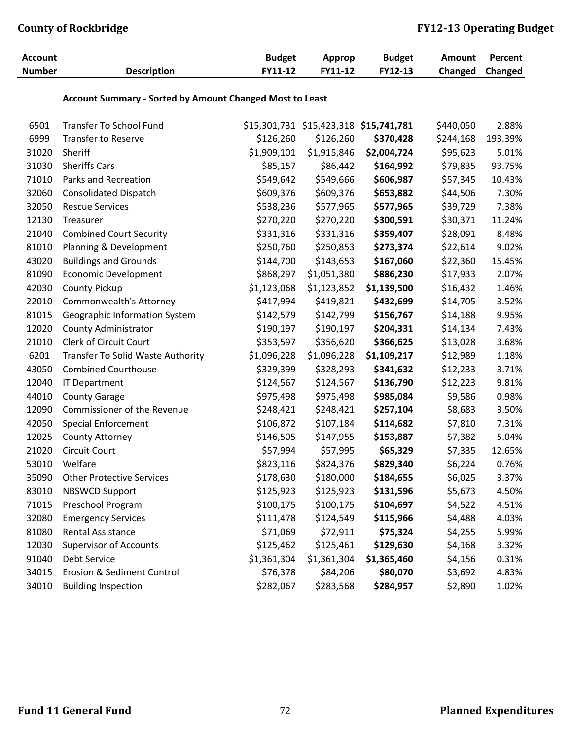| <b>Account</b> |                                                          | <b>Budget</b> | Approp                                        | <b>Budget</b> | <b>Amount</b> | Percent |
|----------------|----------------------------------------------------------|---------------|-----------------------------------------------|---------------|---------------|---------|
| <b>Number</b>  | <b>Description</b>                                       | FY11-12       | FY11-12                                       | FY12-13       | Changed       | Changed |
|                | Account Summary - Sorted by Amount Changed Most to Least |               |                                               |               |               |         |
| 6501           | <b>Transfer To School Fund</b>                           |               | \$15,301,731 \$15,423,318 <b>\$15,741,781</b> |               | \$440,050     | 2.88%   |
| 6999           | <b>Transfer to Reserve</b>                               | \$126,260     | \$126,260                                     | \$370,428     | \$244,168     | 193.39% |
| 31020          | Sheriff                                                  | \$1,909,101   | \$1,915,846                                   | \$2,004,724   | \$95,623      | 5.01%   |
| 31030          | <b>Sheriffs Cars</b>                                     | \$85,157      | \$86,442                                      | \$164,992     | \$79,835      | 93.75%  |
| 71010          | Parks and Recreation                                     | \$549,642     | \$549,666                                     | \$606,987     | \$57,345      | 10.43%  |
| 32060          | <b>Consolidated Dispatch</b>                             | \$609,376     | \$609,376                                     | \$653,882     | \$44,506      | 7.30%   |
| 32050          | <b>Rescue Services</b>                                   | \$538,236     | \$577,965                                     | \$577,965     | \$39,729      | 7.38%   |
| 12130          | Treasurer                                                | \$270,220     | \$270,220                                     | \$300,591     | \$30,371      | 11.24%  |
| 21040          | <b>Combined Court Security</b>                           | \$331,316     | \$331,316                                     | \$359,407     | \$28,091      | 8.48%   |
| 81010          | Planning & Development                                   | \$250,760     | \$250,853                                     | \$273,374     | \$22,614      | 9.02%   |
| 43020          | <b>Buildings and Grounds</b>                             | \$144,700     | \$143,653                                     | \$167,060     | \$22,360      | 15.45%  |
| 81090          | <b>Economic Development</b>                              | \$868,297     | \$1,051,380                                   | \$886,230     | \$17,933      | 2.07%   |
| 42030          | <b>County Pickup</b>                                     | \$1,123,068   | \$1,123,852                                   | \$1,139,500   | \$16,432      | 1.46%   |
| 22010          | Commonwealth's Attorney                                  | \$417,994     | \$419,821                                     | \$432,699     | \$14,705      | 3.52%   |
| 81015          | Geographic Information System                            | \$142,579     | \$142,799                                     | \$156,767     | \$14,188      | 9.95%   |
| 12020          | <b>County Administrator</b>                              | \$190,197     | \$190,197                                     | \$204,331     | \$14,134      | 7.43%   |
| 21010          | Clerk of Circuit Court                                   | \$353,597     | \$356,620                                     | \$366,625     | \$13,028      | 3.68%   |
| 6201           | Transfer To Solid Waste Authority                        | \$1,096,228   | \$1,096,228                                   | \$1,109,217   | \$12,989      | 1.18%   |
| 43050          | <b>Combined Courthouse</b>                               | \$329,399     | \$328,293                                     | \$341,632     | \$12,233      | 3.71%   |
| 12040          | <b>IT Department</b>                                     | \$124,567     | \$124,567                                     | \$136,790     | \$12,223      | 9.81%   |
| 44010          | <b>County Garage</b>                                     | \$975,498     | \$975,498                                     | \$985,084     | \$9,586       | 0.98%   |
| 12090          | Commissioner of the Revenue                              | \$248,421     | \$248,421                                     | \$257,104     | \$8,683       | 3.50%   |
| 42050          | <b>Special Enforcement</b>                               | \$106,872     | \$107,184                                     | \$114,682     | \$7,810       | 7.31%   |
| 12025          | <b>County Attorney</b>                                   | \$146,505     | \$147,955                                     | \$153,887     | \$7,382       | 5.04%   |
| 21020          | <b>Circuit Court</b>                                     | \$57,994      | \$57,995                                      | \$65,329      | \$7,335       | 12.65%  |
| 53010          | Welfare                                                  | \$823,116     | \$824,376                                     | \$829,340     | \$6,224       | 0.76%   |
| 35090          | <b>Other Protective Services</b>                         | \$178,630     | \$180,000                                     | \$184,655     | \$6,025       | 3.37%   |
| 83010          | <b>NBSWCD Support</b>                                    | \$125,923     | \$125,923                                     | \$131,596     | \$5,673       | 4.50%   |
| 71015          | Preschool Program                                        | \$100,175     | \$100,175                                     | \$104,697     | \$4,522       | 4.51%   |
| 32080          | <b>Emergency Services</b>                                | \$111,478     | \$124,549                                     | \$115,966     | \$4,488       | 4.03%   |
| 81080          | Rental Assistance                                        | \$71,069      | \$72,911                                      | \$75,324      | \$4,255       | 5.99%   |
| 12030          | <b>Supervisor of Accounts</b>                            | \$125,462     | \$125,461                                     | \$129,630     | \$4,168       | 3.32%   |
| 91040          | <b>Debt Service</b>                                      | \$1,361,304   | \$1,361,304                                   | \$1,365,460   | \$4,156       | 0.31%   |
| 34015          | Erosion & Sediment Control                               | \$76,378      | \$84,206                                      | \$80,070      | \$3,692       | 4.83%   |
| 34010          | <b>Building Inspection</b>                               | \$282,067     | \$283,568                                     | \$284,957     | \$2,890       | 1.02%   |